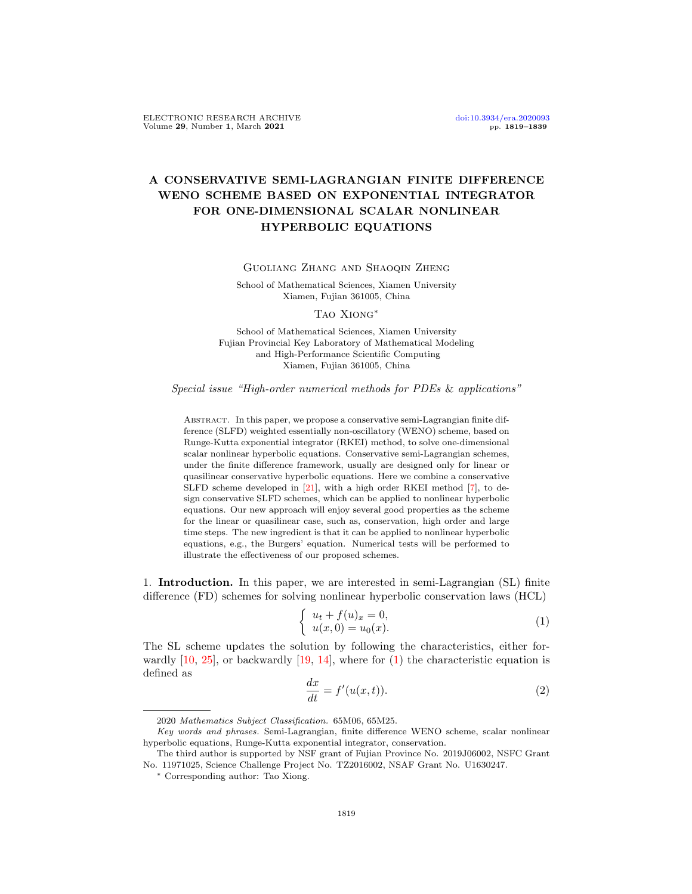# A CONSERVATIVE SEMI-LAGRANGIAN FINITE DIFFERENCE WENO SCHEME BASED ON EXPONENTIAL INTEGRATOR FOR ONE-DIMENSIONAL SCALAR NONLINEAR HYPERBOLIC EQUATIONS

Volume 29, Number 1, March 2021

## Guoliang Zhang and Shaoqin Zheng

School of Mathematical Sciences, Xiamen University Xiamen, Fujian 361005, China

#### Tao Xiong∗

School of Mathematical Sciences, Xiamen University Fujian Provincial Key Laboratory of Mathematical Modeling and High-Performance Scientific Computing Xiamen, Fujian 361005, China

Special issue "High-order numerical methods for PDEs & applications"

Abstract. In this paper, we propose a conservative semi-Lagrangian finite difference (SLFD) weighted essentially non-oscillatory (WENO) scheme, based on Runge-Kutta exponential integrator (RKEI) method, to solve one-dimensional scalar nonlinear hyperbolic equations. Conservative semi-Lagrangian schemes, under the finite difference framework, usually are designed only for linear or quasilinear conservative hyperbolic equations. Here we combine a conservative SLFD scheme developed in [\[21\]](#page-19-0), with a high order RKEI method [\[7\]](#page-19-1), to design conservative SLFD schemes, which can be applied to nonlinear hyperbolic equations. Our new approach will enjoy several good properties as the scheme for the linear or quasilinear case, such as, conservation, high order and large time steps. The new ingredient is that it can be applied to nonlinear hyperbolic equations, e.g., the Burgers' equation. Numerical tests will be performed to illustrate the effectiveness of our proposed schemes.

1. Introduction. In this paper, we are interested in semi-Lagrangian (SL) finite difference (FD) schemes for solving nonlinear hyperbolic conservation laws (HCL)

<span id="page-0-0"></span>
$$
\begin{cases}\n u_t + f(u)_x = 0, \\
 u(x, 0) = u_0(x).\n\end{cases}
$$
\n(1)

The SL scheme updates the solution by following the characteristics, either forwardly  $[10, 25]$  $[10, 25]$  $[10, 25]$ , or backwardly  $[19, 14]$  $[19, 14]$  $[19, 14]$ , where for  $(1)$  the characteristic equation is defined as

<span id="page-0-1"></span>
$$
\frac{dx}{dt} = f'(u(x,t)).\tag{2}
$$

<sup>2020</sup> Mathematics Subject Classification. 65M06, 65M25.

Key words and phrases. Semi-Lagrangian, finite difference WENO scheme, scalar nonlinear hyperbolic equations, Runge-Kutta exponential integrator, conservation.

The third author is supported by NSF grant of Fujian Province No. 2019J06002, NSFC Grant No. 11971025, Science Challenge Project No. TZ2016002, NSAF Grant No. U1630247.

<sup>∗</sup> Corresponding author: Tao Xiong.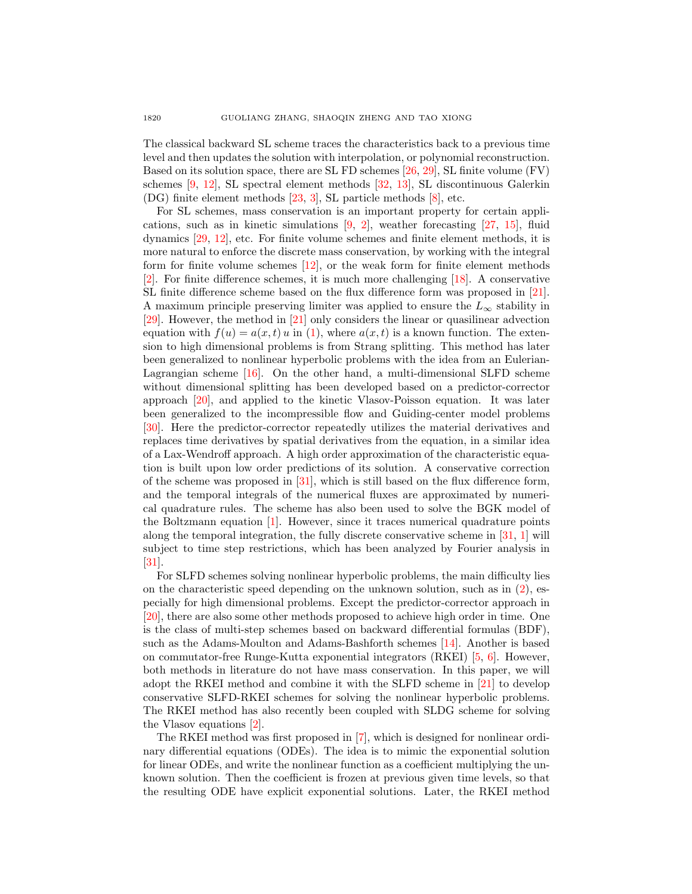The classical backward SL scheme traces the characteristics back to a previous time level and then updates the solution with interpolation, or polynomial reconstruction. Based on its solution space, there are SL FD schemes [\[26,](#page-20-1) [29\]](#page-20-2), SL finite volume (FV) schemes [\[9,](#page-19-5) [12\]](#page-19-6), SL spectral element methods [\[32,](#page-20-3) [13\]](#page-19-7), SL discontinuous Galerkin (DG) finite element methods [\[23,](#page-19-8) [3\]](#page-19-9), SL particle methods [\[8\]](#page-19-10), etc.

For SL schemes, mass conservation is an important property for certain applications, such as in kinetic simulations  $[9, 2]$  $[9, 2]$  $[9, 2]$ , weather forecasting  $[27, 15]$  $[27, 15]$  $[27, 15]$ , fluid dynamics [\[29,](#page-20-2) [12\]](#page-19-6), etc. For finite volume schemes and finite element methods, it is more natural to enforce the discrete mass conservation, by working with the integral form for finite volume schemes [\[12\]](#page-19-6), or the weak form for finite element methods [\[2\]](#page-19-11). For finite difference schemes, it is much more challenging [\[18\]](#page-19-13). A conservative SL finite difference scheme based on the flux difference form was proposed in [\[21\]](#page-19-0). A maximum principle preserving limiter was applied to ensure the  $L_{\infty}$  stability in [\[29\]](#page-20-2). However, the method in [\[21\]](#page-19-0) only considers the linear or quasilinear advection equation with  $f(u) = a(x, t) u$  in [\(1\)](#page-0-0), where  $a(x, t)$  is a known function. The extension to high dimensional problems is from Strang splitting. This method has later been generalized to nonlinear hyperbolic problems with the idea from an Eulerian-Lagrangian scheme [\[16\]](#page-19-14). On the other hand, a multi-dimensional SLFD scheme without dimensional splitting has been developed based on a predictor-corrector approach [\[20\]](#page-19-15), and applied to the kinetic Vlasov-Poisson equation. It was later been generalized to the incompressible flow and Guiding-center model problems [\[30\]](#page-20-5). Here the predictor-corrector repeatedly utilizes the material derivatives and replaces time derivatives by spatial derivatives from the equation, in a similar idea of a Lax-Wendroff approach. A high order approximation of the characteristic equation is built upon low order predictions of its solution. A conservative correction of the scheme was proposed in  $[31]$ , which is still based on the flux difference form, and the temporal integrals of the numerical fluxes are approximated by numerical quadrature rules. The scheme has also been used to solve the BGK model of the Boltzmann equation [\[1\]](#page-19-16). However, since it traces numerical quadrature points along the temporal integration, the fully discrete conservative scheme in [\[31,](#page-20-6) [1\]](#page-19-16) will subject to time step restrictions, which has been analyzed by Fourier analysis in [\[31\]](#page-20-6).

For SLFD schemes solving nonlinear hyperbolic problems, the main difficulty lies on the characteristic speed depending on the unknown solution, such as in [\(2\)](#page-0-1), especially for high dimensional problems. Except the predictor-corrector approach in [\[20\]](#page-19-15), there are also some other methods proposed to achieve high order in time. One is the class of multi-step schemes based on backward differential formulas (BDF), such as the Adams-Moulton and Adams-Bashforth schemes [\[14\]](#page-19-4). Another is based on commutator-free Runge-Kutta exponential integrators (RKEI) [\[5,](#page-19-17) [6\]](#page-19-18). However, both methods in literature do not have mass conservation. In this paper, we will adopt the RKEI method and combine it with the SLFD scheme in [\[21\]](#page-19-0) to develop conservative SLFD-RKEI schemes for solving the nonlinear hyperbolic problems. The RKEI method has also recently been coupled with SLDG scheme for solving the Vlasov equations [\[2\]](#page-19-11).

The RKEI method was first proposed in [\[7\]](#page-19-1), which is designed for nonlinear ordinary differential equations (ODEs). The idea is to mimic the exponential solution for linear ODEs, and write the nonlinear function as a coefficient multiplying the unknown solution. Then the coefficient is frozen at previous given time levels, so that the resulting ODE have explicit exponential solutions. Later, the RKEI method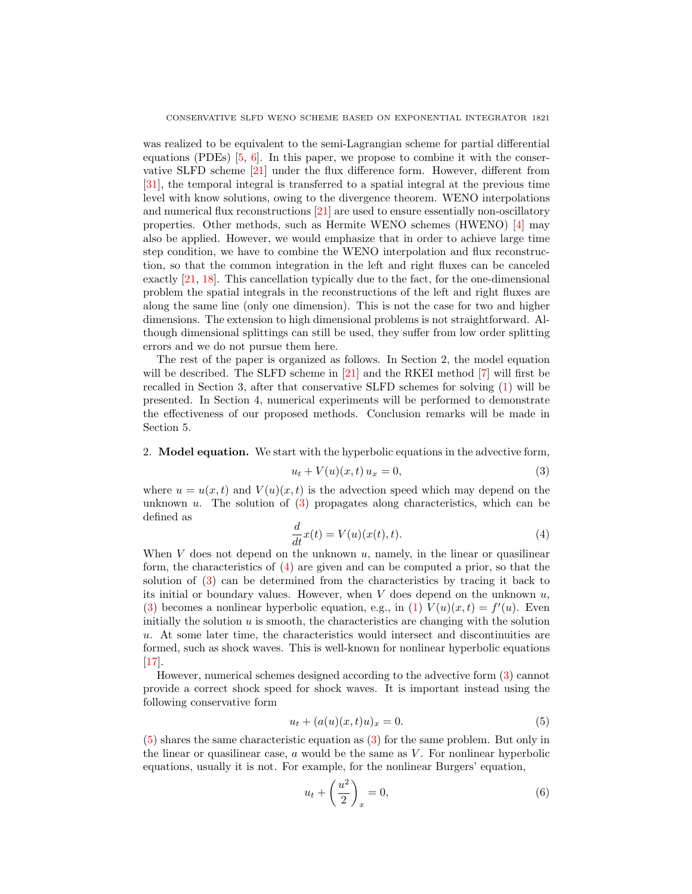was realized to be equivalent to the semi-Lagrangian scheme for partial differential equations (PDEs)  $[5, 6]$  $[5, 6]$  $[5, 6]$ . In this paper, we propose to combine it with the conservative SLFD scheme [\[21\]](#page-19-0) under the flux difference form. However, different from [\[31\]](#page-20-6), the temporal integral is transferred to a spatial integral at the previous time level with know solutions, owing to the divergence theorem. WENO interpolations and numerical flux reconstructions [\[21\]](#page-19-0) are used to ensure essentially non-oscillatory properties. Other methods, such as Hermite WENO schemes (HWENO) [\[4\]](#page-19-19) may also be applied. However, we would emphasize that in order to achieve large time step condition, we have to combine the WENO interpolation and flux reconstruction, so that the common integration in the left and right fluxes can be canceled exactly [\[21,](#page-19-0) [18\]](#page-19-13). This cancellation typically due to the fact, for the one-dimensional problem the spatial integrals in the reconstructions of the left and right fluxes are along the same line (only one dimension). This is not the case for two and higher dimensions. The extension to high dimensional problems is not straightforward. Although dimensional splittings can still be used, they suffer from low order splitting errors and we do not pursue them here.

The rest of the paper is organized as follows. In Section 2, the model equation will be described. The SLFD scheme in [\[21\]](#page-19-0) and the RKEI method [\[7\]](#page-19-1) will first be recalled in Section 3, after that conservative SLFD schemes for solving [\(1\)](#page-0-0) will be presented. In Section 4, numerical experiments will be performed to demonstrate the effectiveness of our proposed methods. Conclusion remarks will be made in Section 5.

### 2. Model equation. We start with the hyperbolic equations in the advective form,

<span id="page-2-0"></span>
$$
u_t + V(u)(x, t) u_x = 0,
$$
\n(3)

where  $u = u(x, t)$  and  $V(u)(x, t)$  is the advection speed which may depend on the unknown  $u$ . The solution of  $(3)$  propagates along characteristics, which can be defined as

<span id="page-2-1"></span>
$$
\frac{d}{dt}x(t) = V(u)(x(t), t).
$$
\n(4)

When  $V$  does not depend on the unknown  $u$ , namely, in the linear or quasilinear form, the characteristics of [\(4\)](#page-2-1) are given and can be computed a prior, so that the solution of [\(3\)](#page-2-0) can be determined from the characteristics by tracing it back to its initial or boundary values. However, when  $V$  does depend on the unknown  $u$ , [\(3\)](#page-2-0) becomes a nonlinear hyperbolic equation, e.g., in [\(1\)](#page-0-0)  $V(u)(x,t) = f'(u)$ . Even initially the solution  $u$  is smooth, the characteristics are changing with the solution u. At some later time, the characteristics would intersect and discontinuities are formed, such as shock waves. This is well-known for nonlinear hyperbolic equations [\[17\]](#page-19-20).

However, numerical schemes designed according to the advective form [\(3\)](#page-2-0) cannot provide a correct shock speed for shock waves. It is important instead using the following conservative form

<span id="page-2-2"></span>
$$
u_t + (a(u)(x,t)u)_x = 0.
$$
 (5)

[\(5\)](#page-2-2) shares the same characteristic equation as [\(3\)](#page-2-0) for the same problem. But only in the linear or quasilinear case,  $\alpha$  would be the same as  $V$ . For nonlinear hyperbolic equations, usually it is not. For example, for the nonlinear Burgers' equation,

$$
u_t + \left(\frac{u^2}{2}\right)_x = 0,\t\t(6)
$$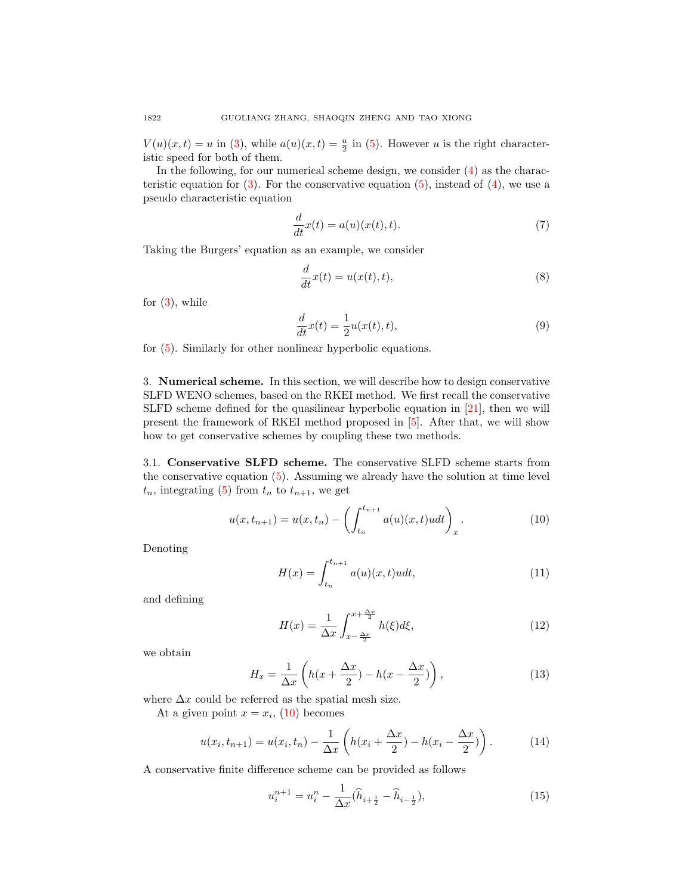$V(u)(x,t) = u$  in [\(3\)](#page-2-0), while  $a(u)(x,t) = \frac{u}{2}$  in [\(5\)](#page-2-2). However u is the right characteristic speed for both of them.

In the following, for our numerical scheme design, we consider  $(4)$  as the characteristic equation for  $(3)$ . For the conservative equation  $(5)$ , instead of  $(4)$ , we use a pseudo characteristic equation

<span id="page-3-2"></span>
$$
\frac{d}{dt}x(t) = a(u)(x(t),t).
$$
\n(7)

Taking the Burgers' equation as an example, we consider

$$
\frac{d}{dt}x(t) = u(x(t), t),
$$
\n(8)

for  $(3)$ , while

$$
\frac{d}{dt}x(t) = \frac{1}{2}u(x(t),t),\tag{9}
$$

for [\(5\)](#page-2-2). Similarly for other nonlinear hyperbolic equations.

3. Numerical scheme. In this section, we will describe how to design conservative SLFD WENO schemes, based on the RKEI method. We first recall the conservative SLFD scheme defined for the quasilinear hyperbolic equation in [\[21\]](#page-19-0), then we will present the framework of RKEI method proposed in [\[5\]](#page-19-17). After that, we will show how to get conservative schemes by coupling these two methods.

3.1. Conservative SLFD scheme. The conservative SLFD scheme starts from the conservative equation [\(5\)](#page-2-2). Assuming we already have the solution at time level  $t_n$ , integrating [\(5\)](#page-2-2) from  $t_n$  to  $t_{n+1}$ , we get

<span id="page-3-0"></span>
$$
u(x, t_{n+1}) = u(x, t_n) - \left(\int_{t_n}^{t_{n+1}} a(u)(x, t)u dt\right)_x.
$$
 (10)

Denoting

<span id="page-3-1"></span>
$$
H(x) = \int_{t_n}^{t_{n+1}} a(u)(x, t)u dt,
$$
\n(11)

and defining

$$
H(x) = \frac{1}{\Delta x} \int_{x - \frac{\Delta x}{2}}^{x + \frac{\Delta x}{2}} h(\xi) d\xi,
$$
\n(12)

we obtain

$$
H_x = \frac{1}{\Delta x} \left( h(x + \frac{\Delta x}{2}) - h(x - \frac{\Delta x}{2}) \right),\tag{13}
$$

where  $\Delta x$  could be referred as the spatial mesh size.

At a given point  $x = x_i$ , [\(10\)](#page-3-0) becomes

$$
u(x_i, t_{n+1}) = u(x_i, t_n) - \frac{1}{\Delta x} \left( h(x_i + \frac{\Delta x}{2}) - h(x_i - \frac{\Delta x}{2}) \right).
$$
 (14)

A conservative finite difference scheme can be provided as follows

<span id="page-3-3"></span>
$$
u_i^{n+1} = u_i^n - \frac{1}{\Delta x} (\hat{h}_{i + \frac{1}{2}} - \hat{h}_{i - \frac{1}{2}}),
$$
\n(15)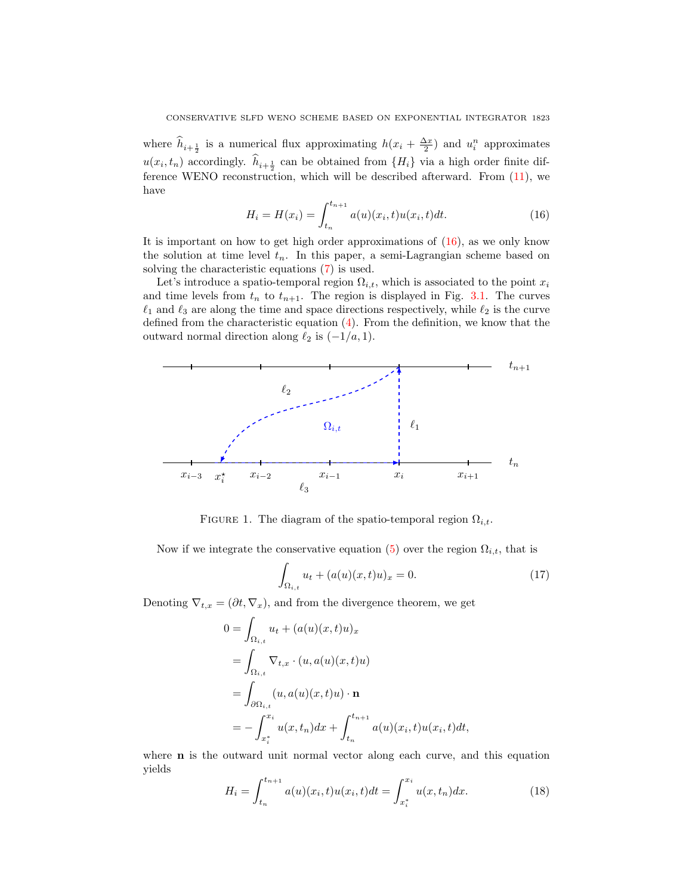where  $\hat{h}_{i+\frac{1}{2}}$  is a numerical flux approximating  $h(x_i + \frac{\Delta x}{2})$  and  $u_i^n$  approximates  $u(x_i, t_n)$  accordingly.  $h_{i+\frac{1}{2}}$  can be obtained from  $\{H_i\}$  via a high order finite difference WENO reconstruction, which will be described afterward. From [\(11\)](#page-3-1), we have

<span id="page-4-0"></span>
$$
H_i = H(x_i) = \int_{t_n}^{t_{n+1}} a(u)(x_i, t)u(x_i, t)dt.
$$
 (16)

It is important on how to get high order approximations of  $(16)$ , as we only know the solution at time level  $t_n$ . In this paper, a semi-Lagrangian scheme based on solving the characteristic equations [\(7\)](#page-3-2) is used.

Let's introduce a spatio-temporal region  $\Omega_{i,t}$ , which is associated to the point  $x_i$ and time levels from  $t_n$  to  $t_{n+1}$ . The region is displayed in Fig. [3.1.](#page-4-0) The curves  $\ell_1$  and  $\ell_3$  are along the time and space directions respectively, while  $\ell_2$  is the curve defined from the characteristic equation  $(4)$ . From the definition, we know that the outward normal direction along  $\ell_2$  is  $(-1/a, 1)$ .



FIGURE 1. The diagram of the spatio-temporal region  $\Omega_{i,t}$ .

Now if we integrate the conservative equation [\(5\)](#page-2-2) over the region  $\Omega_{i,t}$ , that is

<span id="page-4-2"></span>
$$
\int_{\Omega_{i,t}} u_t + (a(u)(x,t)u)_x = 0.
$$
\n(17)

Denoting  $\nabla_{t,x} = (\partial t, \nabla_x)$ , and from the divergence theorem, we get

$$
0 = \int_{\Omega_{i,t}} u_t + (a(u)(x,t)u)_x
$$
  
= 
$$
\int_{\Omega_{i,t}} \nabla_{t,x} \cdot (u, a(u)(x,t)u)
$$
  
= 
$$
\int_{\partial \Omega_{i,t}} (u, a(u)(x,t)u) \cdot \mathbf{n}
$$
  
= 
$$
-\int_{x_i^*}^{x_i} u(x,t_n) dx + \int_{t_n}^{t_{n+1}} a(u)(x_i,t)u(x_i,t)dt,
$$

where **n** is the outward unit normal vector along each curve, and this equation yields

<span id="page-4-1"></span>
$$
H_i = \int_{t_n}^{t_{n+1}} a(u)(x_i, t)u(x_i, t)dt = \int_{x_i^*}^{x_i} u(x, t_n)dx.
$$
 (18)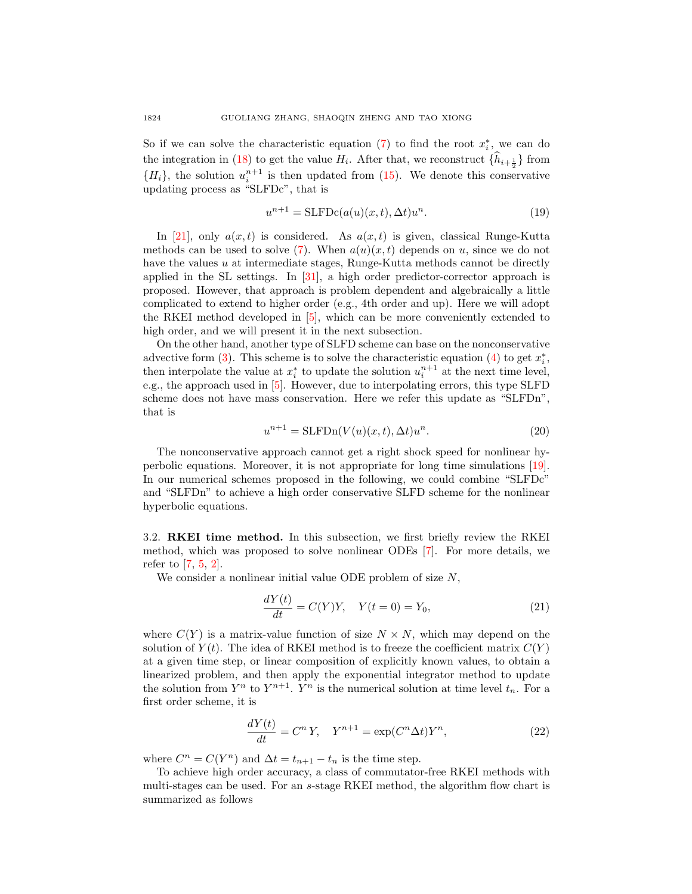So if we can solve the characteristic equation [\(7\)](#page-3-2) to find the root  $x_i^*$ , we can do the integration in [\(18\)](#page-4-1) to get the value  $H_i$ . After that, we reconstruct  $\{h_{i+\frac{1}{2}}\}$  from  ${H_i}$ , the solution  $u_i^{n+1}$  is then updated from [\(15\)](#page-3-3). We denote this conservative updating process as "SLFDc", that is

$$
u^{n+1} = \text{SLFDc}(a(u)(x, t), \Delta t)u^n.
$$
\n(19)

In [\[21\]](#page-19-0), only  $a(x, t)$  is considered. As  $a(x, t)$  is given, classical Runge-Kutta methods can be used to solve [\(7\)](#page-3-2). When  $a(u)(x, t)$  depends on u, since we do not have the values  $u$  at intermediate stages, Runge-Kutta methods cannot be directly applied in the SL settings. In [\[31\]](#page-20-6), a high order predictor-corrector approach is proposed. However, that approach is problem dependent and algebraically a little complicated to extend to higher order (e.g., 4th order and up). Here we will adopt the RKEI method developed in [\[5\]](#page-19-17), which can be more conveniently extended to high order, and we will present it in the next subsection.

On the other hand, another type of SLFD scheme can base on the nonconservative advective form  $(3)$ . This scheme is to solve the characteristic equation  $(4)$  to get  $x_i^*$ , then interpolate the value at  $x_i^*$  to update the solution  $u_i^{n+1}$  at the next time level, e.g., the approach used in [\[5\]](#page-19-17). However, due to interpolating errors, this type SLFD scheme does not have mass conservation. Here we refer this update as "SLFDn", that is

$$
u^{n+1} = \text{SLFDn}(V(u)(x,t), \Delta t)u^n.
$$
\n(20)

The nonconservative approach cannot get a right shock speed for nonlinear hyperbolic equations. Moreover, it is not appropriate for long time simulations [\[19\]](#page-19-3). In our numerical schemes proposed in the following, we could combine "SLFDc" and "SLFDn" to achieve a high order conservative SLFD scheme for the nonlinear hyperbolic equations.

3.2. RKEI time method. In this subsection, we first briefly review the RKEI method, which was proposed to solve nonlinear ODEs [\[7\]](#page-19-1). For more details, we refer to [\[7,](#page-19-1) [5,](#page-19-17) [2\]](#page-19-11).

We consider a nonlinear initial value ODE problem of size  $N$ ,

<span id="page-5-0"></span>
$$
\frac{dY(t)}{dt} = C(Y)Y, \quad Y(t=0) = Y_0,
$$
\n(21)

where  $C(Y)$  is a matrix-value function of size  $N \times N$ , which may depend on the solution of  $Y(t)$ . The idea of RKEI method is to freeze the coefficient matrix  $C(Y)$ at a given time step, or linear composition of explicitly known values, to obtain a linearized problem, and then apply the exponential integrator method to update the solution from  $Y^n$  to  $Y^{n+1}$ .  $Y^n$  is the numerical solution at time level  $t_n$ . For a first order scheme, it is

$$
\frac{dY(t)}{dt} = C^n Y, \quad Y^{n+1} = \exp(C^n \Delta t) Y^n,\tag{22}
$$

where  $C^n = C(Y^n)$  and  $\Delta t = t_{n+1} - t_n$  is the time step.

To achieve high order accuracy, a class of commutator-free RKEI methods with multi-stages can be used. For an s-stage RKEI method, the algorithm flow chart is summarized as follows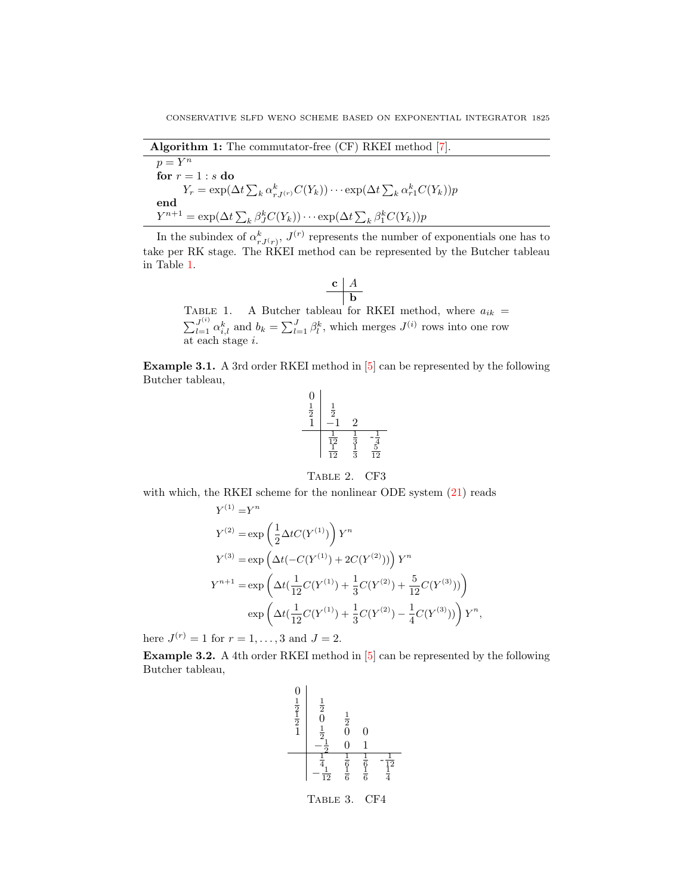Algorithm 1: The commutator-free (CF) RKEI method [\[7\]](#page-19-1).  $p = Y^n$ for  $r = 1 : s$  do  $Y_r = \exp(\Delta t \sum_k \alpha_{rJ^{(r)}}^k C(Y_k)) \cdots \exp(\Delta t \sum_k \alpha_{r1}^k C(Y_k)) p$ end  $Y^{n+1} = \exp(\Delta t \sum_k \beta_j^k C(Y_k)) \cdots \exp(\Delta t \sum_k \beta_j^k C(Y_k)) p$ 

In the subindex of  $\alpha_{rJ(r)}^k$ ,  $J^{(r)}$  represents the number of exponentials one has to take per RK stage. The RKEI method can be represented by the Butcher tableau in Table [1.](#page-6-0)

<span id="page-6-0"></span>
$$
\begin{array}{c|c}\n\mathbf{c} & A \\
\hline\n\mathbf{b}\n\end{array}
$$

TABLE 1. A Butcher tableau for RKEI method, where  $a_{ik}$  =  $\sum_{l=1}^{J^{(i)}} \alpha_{i,l}^k$  and  $b_k = \sum_{l=1}^{J} \beta_l^k$ , which merges  $J^{(i)}$  rows into one row at each stage i.

Example 3.1. A 3rd order RKEI method in [\[5\]](#page-19-17) can be represented by the following Butcher tableau,

<span id="page-6-1"></span>
$$
\begin{array}{c|cc}\n0 & \frac{1}{2} & \frac{1}{2} \\
1 & -1 & 2 \\
\hline\n\frac{1}{12} & \frac{1}{3} & -\frac{1}{4} \\
\frac{1}{12} & \frac{1}{3} & \frac{5}{12}\n\end{array}
$$

## Table 2. CF3

with which, the RKEI scheme for the nonlinear ODE system  $(21)$  reads

$$
Y^{(1)} = Y^n
$$
  
\n
$$
Y^{(2)} = \exp\left(\frac{1}{2}\Delta t C(Y^{(1)})\right) Y^n
$$
  
\n
$$
Y^{(3)} = \exp\left(\Delta t (-C(Y^{(1)}) + 2C(Y^{(2)}))\right) Y^n
$$
  
\n
$$
Y^{n+1} = \exp\left(\Delta t (\frac{1}{12}C(Y^{(1)}) + \frac{1}{3}C(Y^{(2)}) + \frac{5}{12}C(Y^{(3)}))\right)
$$
  
\n
$$
\exp\left(\Delta t (\frac{1}{12}C(Y^{(1)}) + \frac{1}{3}C(Y^{(2)}) - \frac{1}{4}C(Y^{(3)}))\right) Y^n,
$$

here  $J^{(r)} = 1$  for  $r = 1, ..., 3$  and  $J = 2$ .

Example 3.2. A 4th order RKEI method in [\[5\]](#page-19-17) can be represented by the following Butcher tableau,

<span id="page-6-2"></span>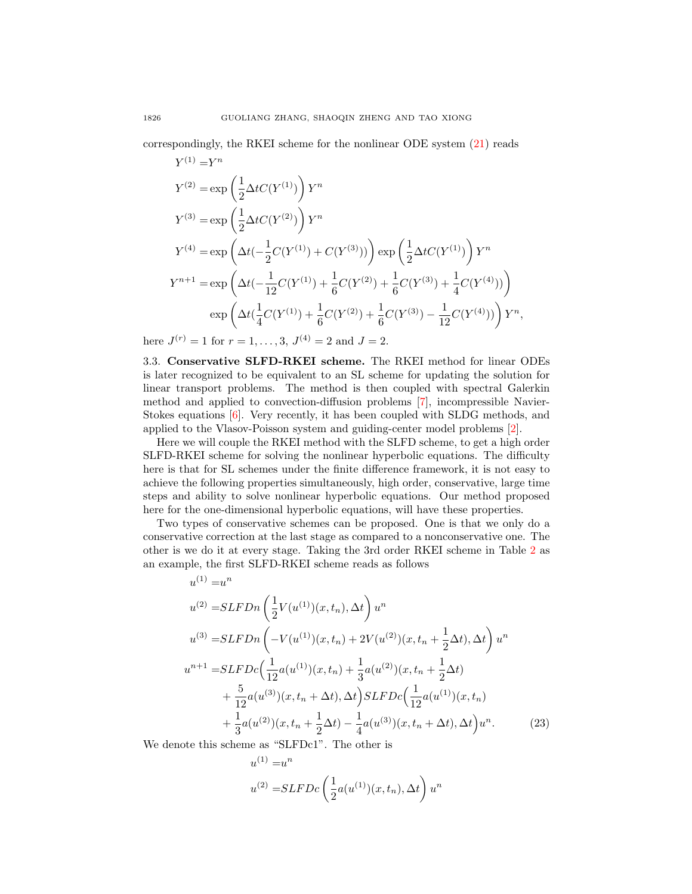correspondingly, the RKEI scheme for the nonlinear ODE system [\(21\)](#page-5-0) reads  $Y^{(1)} = Y^n$ 

$$
Y^{(2)} = \exp\left(\frac{1}{2}\Delta t C(Y^{(1)})\right) Y^n
$$
  
\n
$$
Y^{(3)} = \exp\left(\frac{1}{2}\Delta t C(Y^{(2)})\right) Y^n
$$
  
\n
$$
Y^{(4)} = \exp\left(\Delta t \left(-\frac{1}{2}C(Y^{(1)}) + C(Y^{(3)})\right)\right) \exp\left(\frac{1}{2}\Delta t C(Y^{(1)})\right) Y^n
$$
  
\n
$$
Y^{n+1} = \exp\left(\Delta t \left(-\frac{1}{12}C(Y^{(1)}) + \frac{1}{6}C(Y^{(2)}) + \frac{1}{6}C(Y^{(3)}) + \frac{1}{4}C(Y^{(4)})\right)\right)
$$
  
\n
$$
\exp\left(\Delta t \left(\frac{1}{4}C(Y^{(1)}) + \frac{1}{6}C(Y^{(2)}) + \frac{1}{6}C(Y^{(3)}) - \frac{1}{12}C(Y^{(4)})\right)\right) Y^n,
$$

here  $J^{(r)} = 1$  for  $r = 1, ..., 3, J^{(4)} = 2$  and  $J = 2$ .

3.3. Conservative SLFD-RKEI scheme. The RKEI method for linear ODEs is later recognized to be equivalent to an SL scheme for updating the solution for linear transport problems. The method is then coupled with spectral Galerkin method and applied to convection-diffusion problems [\[7\]](#page-19-1), incompressible Navier-Stokes equations [\[6\]](#page-19-18). Very recently, it has been coupled with SLDG methods, and applied to the Vlasov-Poisson system and guiding-center model problems [\[2\]](#page-19-11).

Here we will couple the RKEI method with the SLFD scheme, to get a high order SLFD-RKEI scheme for solving the nonlinear hyperbolic equations. The difficulty here is that for SL schemes under the finite difference framework, it is not easy to achieve the following properties simultaneously, high order, conservative, large time steps and ability to solve nonlinear hyperbolic equations. Our method proposed here for the one-dimensional hyperbolic equations, will have these properties.

Two types of conservative schemes can be proposed. One is that we only do a conservative correction at the last stage as compared to a nonconservative one. The other is we do it at every stage. Taking the 3rd order RKEI scheme in Table [2](#page-6-1) as an example, the first SLFD-RKEI scheme reads as follows

$$
u^{(1)} = u^n
$$
  
\n
$$
u^{(2)} = SLFDn\left(\frac{1}{2}V(u^{(1)})(x, t_n), \Delta t\right)u^n
$$
  
\n
$$
u^{(3)} = SLFDn\left(-V(u^{(1)})(x, t_n) + 2V(u^{(2)})(x, t_n + \frac{1}{2}\Delta t), \Delta t\right)u^n
$$
  
\n
$$
u^{n+1} = SLFDc\left(\frac{1}{12}a(u^{(1)})(x, t_n) + \frac{1}{3}a(u^{(2)})(x, t_n + \frac{1}{2}\Delta t)\right)
$$
  
\n
$$
+ \frac{5}{12}a(u^{(3)})(x, t_n + \Delta t), \Delta t\right) SLFDc\left(\frac{1}{12}a(u^{(1)})(x, t_n) + \frac{1}{3}a(u^{(2)})(x, t_n + \frac{1}{2}\Delta t) - \frac{1}{4}a(u^{(3)})(x, t_n + \Delta t), \Delta t\right)u^n.
$$
\n(23)

We denote this scheme as "SLFDc1". The other is  $(1)$ 

<span id="page-7-0"></span>n

$$
u^{(1)} = u^n
$$
  

$$
u^{(2)} = SLFDc\left(\frac{1}{2}a(u^{(1)})(x, t_n), \Delta t\right)u^n
$$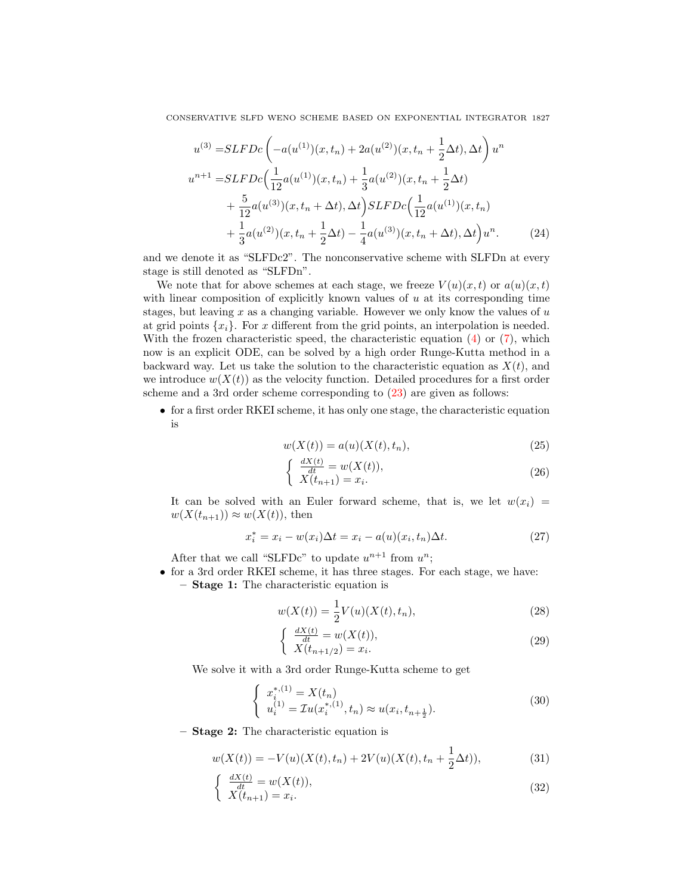$$
u^{(3)} = SLFDc\left(-a(u^{(1)})(x, t_n) + 2a(u^{(2)})(x, t_n + \frac{1}{2}\Delta t), \Delta t\right)u^n
$$
  
\n
$$
u^{n+1} = SLFDc\left(\frac{1}{12}a(u^{(1)})(x, t_n) + \frac{1}{3}a(u^{(2)})(x, t_n + \frac{1}{2}\Delta t)\right)
$$
  
\n
$$
+ \frac{5}{12}a(u^{(3)})(x, t_n + \Delta t), \Delta t\right) SLFDc\left(\frac{1}{12}a(u^{(1)})(x, t_n)\right)
$$
  
\n
$$
+ \frac{1}{3}a(u^{(2)})(x, t_n + \frac{1}{2}\Delta t) - \frac{1}{4}a(u^{(3)})(x, t_n + \Delta t), \Delta t\right)u^n.
$$
 (24)

and we denote it as "SLFDc2". The nonconservative scheme with SLFDn at every stage is still denoted as "SLFDn".

We note that for above schemes at each stage, we freeze  $V(u)(x, t)$  or  $a(u)(x, t)$ with linear composition of explicitly known values of  $u$  at its corresponding time stages, but leaving x as a changing variable. However we only know the values of  $u$ at grid points  $\{x_i\}$ . For x different from the grid points, an interpolation is needed. With the frozen characteristic speed, the characteristic equation [\(4\)](#page-2-1) or [\(7\)](#page-3-2), which now is an explicit ODE, can be solved by a high order Runge-Kutta method in a backward way. Let us take the solution to the characteristic equation as  $X(t)$ , and we introduce  $w(X(t))$  as the velocity function. Detailed procedures for a first order scheme and a 3rd order scheme corresponding to [\(23\)](#page-7-0) are given as follows:

• for a first order RKEI scheme, it has only one stage, the characteristic equation is

<span id="page-8-0"></span>
$$
w(X(t)) = a(u)(X(t), t_n),
$$
\n(25)

$$
\begin{cases}\n\frac{dX(t)}{dt} = w(X(t)),\\ \nX(t_{n+1}) = x_i.\n\end{cases}
$$
\n(26)

It can be solved with an Euler forward scheme, that is, we let  $w(x_i)$  $w(X(t_{n+1})) \approx w(X(t))$ , then

$$
x_i^* = x_i - w(x_i)\Delta t = x_i - a(u)(x_i, t_n)\Delta t.
$$
\n
$$
(27)
$$

After that we call "SLFDc" to update  $u^{n+1}$  from  $u^n$ ;

• for a 3rd order RKEI scheme, it has three stages. For each stage, we have: – Stage 1: The characteristic equation is

$$
w(X(t)) = \frac{1}{2}V(u)(X(t), t_n),
$$
\n(28)

$$
\begin{cases} \frac{dX(t)}{dt} = w(X(t)),\\ X(t_{n+1/2}) = x_i. \end{cases}
$$
 (29)

We solve it with a 3rd order Runge-Kutta scheme to get

$$
\begin{cases}\n x_i^{*,(1)} = X(t_n) \\
 u_i^{(1)} = \mathcal{I}u(x_i^{*,(1)}, t_n) \approx u(x_i, t_{n + \frac{1}{2}}).\n\end{cases}
$$
\n(30)

– Stage 2: The characteristic equation is

$$
w(X(t)) = -V(u)(X(t), t_n) + 2V(u)(X(t), t_n + \frac{1}{2}\Delta t)),
$$
\n(31)

$$
\begin{cases}\n\frac{dX(t)}{dt} = w(X(t)),\\ \nX(t_{n+1}) = x_i.\n\end{cases}
$$
\n(32)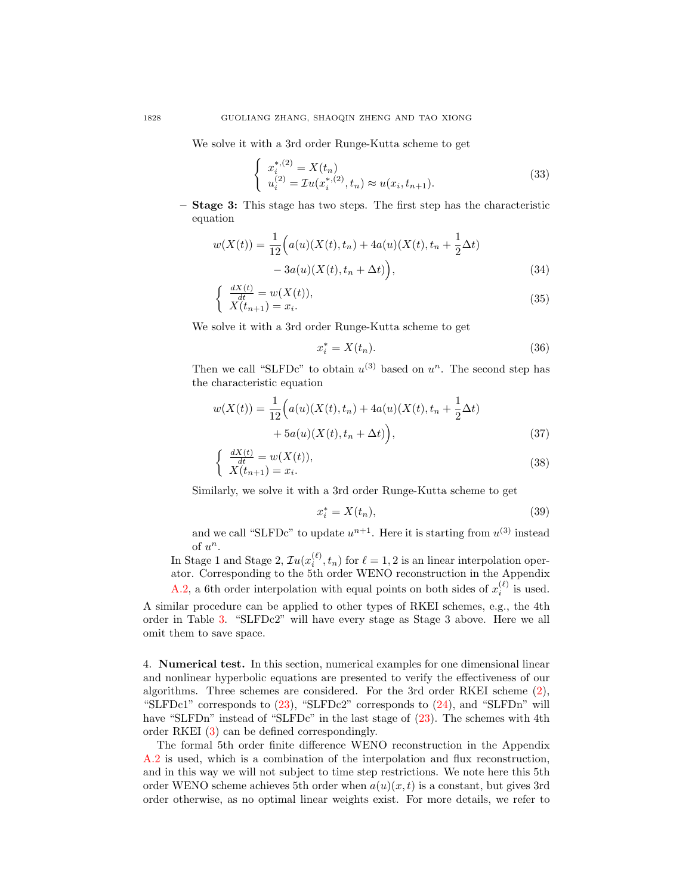We solve it with a 3rd order Runge-Kutta scheme to get

$$
\begin{cases}\n x_i^{*,(2)} = X(t_n) \\
 u_i^{(2)} = \mathcal{I}u(x_i^{*,(2)}, t_n) \approx u(x_i, t_{n+1}).\n\end{cases}
$$
\n(33)

– Stage 3: This stage has two steps. The first step has the characteristic equation

$$
w(X(t)) = \frac{1}{12} \Big( a(u)(X(t), t_n) + 4a(u)(X(t), t_n + \frac{1}{2}\Delta t) - 3a(u)(X(t), t_n + \Delta t) \Big),
$$
\n(34)

$$
\begin{cases}\n\frac{dX(t)}{dt} = w(X(t)),\\ \nX(t_{n+1}) = x_i.\n\end{cases}
$$
\n(35)

We solve it with a 3rd order Runge-Kutta scheme to get

$$
x_i^* = X(t_n). \tag{36}
$$

Then we call "SLFDc" to obtain  $u^{(3)}$  based on  $u^n$ . The second step has the characteristic equation

$$
w(X(t)) = \frac{1}{12} \Big( a(u)(X(t), t_n) + 4a(u)(X(t), t_n + \frac{1}{2}\Delta t) + 5a(u)(X(t), t_n + \Delta t) \Big),
$$
\n(37)

$$
\begin{cases}\n\frac{dX(t)}{dt} = w(X(t)),\\ \nX(t_{n+1}) = x_i.\n\end{cases}
$$
\n(38)

Similarly, we solve it with a 3rd order Runge-Kutta scheme to get

$$
x_i^* = X(t_n),\tag{39}
$$

and we call "SLFDc" to update  $u^{n+1}$ . Here it is starting from  $u^{(3)}$  instead of  $u^n$ .

In Stage 1 and Stage 2,  $\mathcal{I}u(x_i^{(\ell)}, t_n)$  for  $\ell = 1, 2$  is an linear interpolation operator. Corresponding to the 5th order WENO reconstruction in the Appendix [A.2,](#page-17-0) a 6th order interpolation with equal points on both sides of  $x_i^{(\ell)}$  is used.

A similar procedure can be applied to other types of RKEI schemes, e.g., the 4th order in Table [3.](#page-6-2) "SLFDc2" will have every stage as Stage 3 above. Here we all omit them to save space.

4. Numerical test. In this section, numerical examples for one dimensional linear and nonlinear hyperbolic equations are presented to verify the effectiveness of our algorithms. Three schemes are considered. For the 3rd order RKEI scheme [\(2\)](#page-6-1), "SLFDc1" corresponds to  $(23)$ , "SLFDc2" corresponds to  $(24)$ , and "SLFDn" will have "SLFDn" instead of "SLFDc" in the last stage of  $(23)$ . The schemes with 4th order RKEI [\(3\)](#page-6-2) can be defined correspondingly.

The formal 5th order finite difference WENO reconstruction in the Appendix [A.2](#page-17-0) is used, which is a combination of the interpolation and flux reconstruction, and in this way we will not subject to time step restrictions. We note here this 5th order WENO scheme achieves 5th order when  $a(u)(x, t)$  is a constant, but gives 3rd order otherwise, as no optimal linear weights exist. For more details, we refer to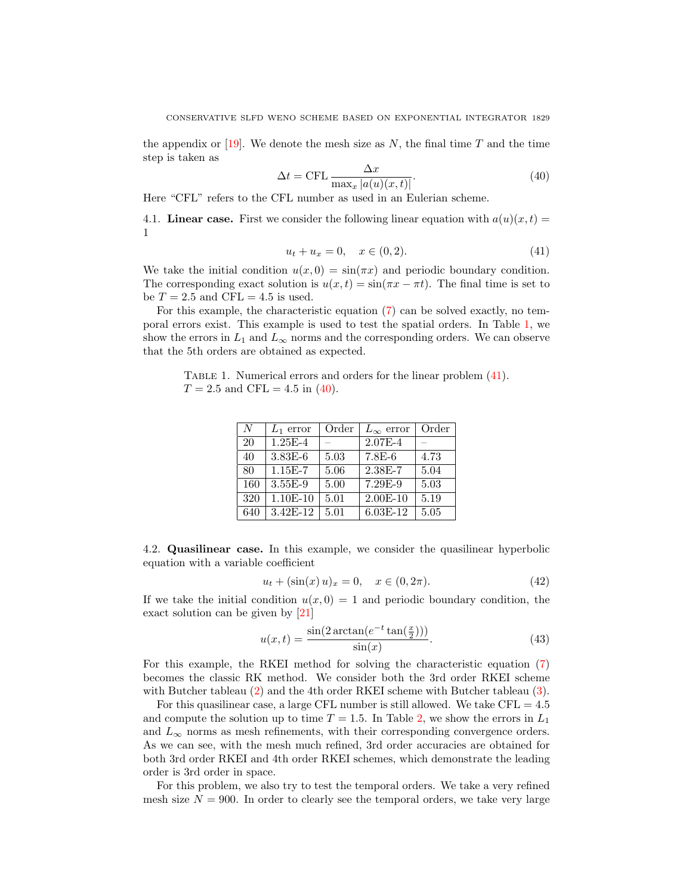the appendix or [\[19\]](#page-19-3). We denote the mesh size as  $N$ , the final time T and the time step is taken as

<span id="page-10-1"></span>
$$
\Delta t = \text{CFL} \frac{\Delta x}{\max_{x} |a(u)(x, t)|}.
$$
\n(40)

Here "CFL" refers to the CFL number as used in an Eulerian scheme.

4.1. Linear case. First we consider the following linear equation with  $a(u)(x, t) =$ 1

<span id="page-10-0"></span>
$$
u_t + u_x = 0, \quad x \in (0, 2). \tag{41}
$$

We take the initial condition  $u(x, 0) = \sin(\pi x)$  and periodic boundary condition. The corresponding exact solution is  $u(x,t) = \sin(\pi x - \pi t)$ . The final time is set to be  $T = 2.5$  and CFL = 4.5 is used.

For this example, the characteristic equation [\(7\)](#page-3-2) can be solved exactly, no temporal errors exist. This example is used to test the spatial orders. In Table [1,](#page-6-0) we show the errors in  $L_1$  and  $L_{\infty}$  norms and the corresponding orders. We can observe that the 5th orders are obtained as expected.

TABLE 1. Numerical errors and orders for the linear problem  $(41)$ .  $T = 2.5$  and CFL = 4.5 in [\(40\)](#page-10-1).

| N   | $L_1$ error | Order | $L_{\infty}$ error | Order |
|-----|-------------|-------|--------------------|-------|
| 20  | $1.25E-4$   |       | $2.07E - 4$        |       |
| 40  | $3.83E-6$   | 5.03  | 7.8E-6             | 4.73  |
| 80  | $1.15E-7$   | 5.06  | 2.38E-7            | 5.04  |
| 160 | 3.55E-9     | 5.00  | 7.29E-9            | 5.03  |
| 320 | $1.10E-10$  | 5.01  | $2.00E-10$         | 5.19  |
| 640 | 3.42E-12    | 5.01  | 6.03E-12           | 5.05  |

4.2. Quasilinear case. In this example, we consider the quasilinear hyperbolic equation with a variable coefficient

<span id="page-10-2"></span>
$$
u_t + (\sin(x) u)_x = 0, \quad x \in (0, 2\pi). \tag{42}
$$

If we take the initial condition  $u(x, 0) = 1$  and periodic boundary condition, the exact solution can be given by [\[21\]](#page-19-0)

$$
u(x,t) = \frac{\sin(2\arctan(e^{-t}\tan(\frac{x}{2})))}{\sin(x)}.\tag{43}
$$

For this example, the RKEI method for solving the characteristic equation [\(7\)](#page-3-2) becomes the classic RK method. We consider both the 3rd order RKEI scheme with Butcher tableau [\(2\)](#page-6-1) and the 4th order RKEI scheme with Butcher tableau [\(3\)](#page-6-2).

For this quasilinear case, a large CFL number is still allowed. We take  $CFL = 4.5$ and compute the solution up to time  $T = 1.5$ . In Table [2,](#page-6-1) we show the errors in  $L_1$ and  $L_{\infty}$  norms as mesh refinements, with their corresponding convergence orders. As we can see, with the mesh much refined, 3rd order accuracies are obtained for both 3rd order RKEI and 4th order RKEI schemes, which demonstrate the leading order is 3rd order in space.

For this problem, we also try to test the temporal orders. We take a very refined mesh size  $N = 900$ . In order to clearly see the temporal orders, we take very large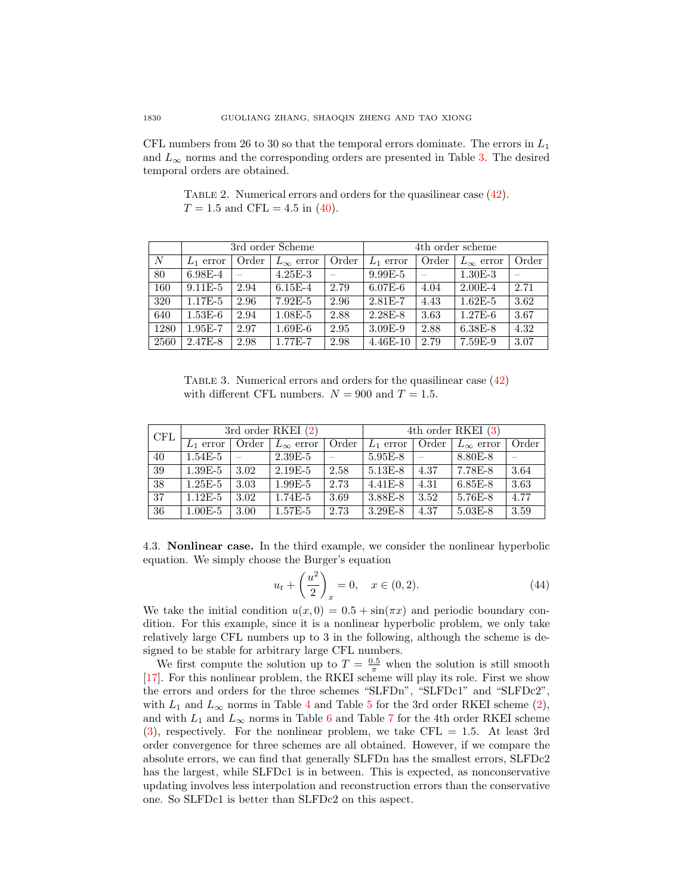CFL numbers from 26 to 30 so that the temporal errors dominate. The errors in  $L_1$ and  $L_{\infty}$  norms and the corresponding orders are presented in Table [3.](#page-6-2) The desired temporal orders are obtained.

TABLE 2. Numerical errors and orders for the quasilinear case [\(42\)](#page-10-2).  $T = 1.5$  and CFL = 4.5 in [\(40\)](#page-10-1).

|      |             |       | 3rd order Scheme   |       | 4th order scheme |       |                    |       |
|------|-------------|-------|--------------------|-------|------------------|-------|--------------------|-------|
| N    | $L_1$ error | Order | $L_{\infty}$ error | Order | $L_1$ error      | Order | $L_{\infty}$ error | Order |
| 80   | $6.98E - 4$ |       | $4.25E - 3$        |       | $9.99E - 5$      |       | $1.30E - 3$        |       |
| 160  | $9.11E-5$   | 2.94  | $6.15E-4$          | 2.79  | $6.07E-6$        | 4.04  | $2.00E - 4$        | 2.71  |
| 320  | $1.17E-5$   | 2.96  | $7.92E-5$          | 2.96  | $2.81E - 7$      | 4.43  | $1.62E - 5$        | 3.62  |
| 640  | $1.53E-6$   | 2.94  | $1.08E - 5$        | 2.88  | $2.28E - 8$      | 3.63  | $1.27E-6$          | 3.67  |
| 1280 | $1.95E - 7$ | 2.97  | $1.69E-6$          | 2.95  | $3.09E-9$        | 2.88  | $6.38E - 8$        | 4.32  |
| 2560 | 2.47E-8     | 2.98  | 1.77E-7            | 2.98  | $4.46E-10$       | 2.79  | 7.59E-9            | 3.07  |

TABLE 3. Numerical errors and orders for the quasilinear case  $(42)$ with different CFL numbers.  $N = 900$  and  $T = 1.5$ .

| <b>CFL</b> |             |       | 3rd order RKEI $(2)$ |       |             |                          | 4th order RKEI (3) |       |
|------------|-------------|-------|----------------------|-------|-------------|--------------------------|--------------------|-------|
|            | $L_1$ error | Order | $L_{\infty}$ error   | Order | $L_1$ error | Order                    | $L_{\infty}$ error | Order |
| 40         | $1.54E-5$   |       | $2.39E - 5$          |       | $5.95E-8$   | $\overline{\phantom{a}}$ | 8.80E-8            |       |
| 39         | $1.39E - 5$ | 3.02  | $2.19E-5$            | 2.58  | $5.13E-8$   | 4.37                     | 7.78E-8            | 3.64  |
| 38         | $1.25E-5$   | 3.03  | $1.99E-5$            | 2.73  | $4.41E - 8$ | 4.31                     | $6.85E - 8$        | 3.63  |
| 37         | $1.12E-5$   | 3.02  | $1.74E-5$            | 3.69  | $3.88E-8$   | 3.52                     | $5.76E - 8$        | 4.77  |
| 36         | $1.00E-5$   | 3.00  | $1.57E-5$            | 2.73  | $3.29E - 8$ | 4.37                     | $5.03E - 8$        | 3.59  |

4.3. Nonlinear case. In the third example, we consider the nonlinear hyperbolic equation. We simply choose the Burger's equation

<span id="page-11-0"></span>
$$
u_t + \left(\frac{u^2}{2}\right)_x = 0, \quad x \in (0, 2). \tag{44}
$$

We take the initial condition  $u(x, 0) = 0.5 + \sin(\pi x)$  and periodic boundary condition. For this example, since it is a nonlinear hyperbolic problem, we only take relatively large CFL numbers up to 3 in the following, although the scheme is designed to be stable for arbitrary large CFL numbers.

We first compute the solution up to  $T = \frac{0.5}{\pi}$  when the solution is still smooth [\[17\]](#page-19-20). For this nonlinear problem, the RKEI scheme will play its role. First we show the errors and orders for the three schemes "SLFDn", "SLFDc1" and "SLFDc2", with  $L_1$  and  $L_\infty$  norms in Table [4](#page-13-0) and Table [5](#page-13-1) for the 3rd order RKEI scheme [\(2\)](#page-6-1), and with  $L_1$  and  $L_\infty$  norms in Table [6](#page-13-2) and Table [7](#page-14-0) for the 4th order RKEI scheme  $(3)$ , respectively. For the nonlinear problem, we take CFL = 1.5. At least 3rd order convergence for three schemes are all obtained. However, if we compare the absolute errors, we can find that generally SLFDn has the smallest errors, SLFDc2 has the largest, while SLFDc1 is in between. This is expected, as nonconservative updating involves less interpolation and reconstruction errors than the conservative one. So SLFDc1 is better than SLFDc2 on this aspect.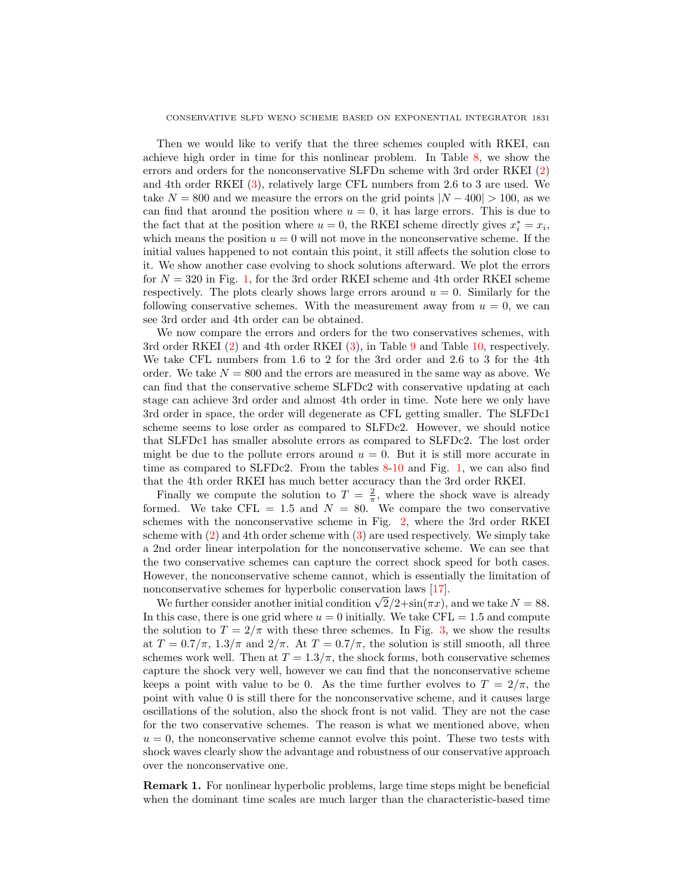Then we would like to verify that the three schemes coupled with RKEI, can achieve high order in time for this nonlinear problem. In Table [8,](#page-14-1) we show the errors and orders for the nonconservative SLFDn scheme with 3rd order RKEI [\(2\)](#page-6-1) and 4th order RKEI [\(3\)](#page-6-2), relatively large CFL numbers from 2.6 to 3 are used. We take  $N = 800$  and we measure the errors on the grid points  $|N - 400| > 100$ , as we can find that around the position where  $u = 0$ , it has large errors. This is due to the fact that at the position where  $u = 0$ , the RKEI scheme directly gives  $x_i^* = x_i$ , which means the position  $u = 0$  will not move in the nonconservative scheme. If the initial values happened to not contain this point, it still affects the solution close to it. We show another case evolving to shock solutions afterward. We plot the errors for  $N = 320$  in Fig. [1,](#page-4-2) for the 3rd order RKEI scheme and 4th order RKEI scheme respectively. The plots clearly shows large errors around  $u = 0$ . Similarly for the following conservative schemes. With the measurement away from  $u = 0$ , we can see 3rd order and 4th order can be obtained.

We now compare the errors and orders for the two conservatives schemes, with 3rd order RKEI [\(2\)](#page-6-1) and 4th order RKEI [\(3\)](#page-6-2), in Table [9](#page-15-0) and Table [10,](#page-15-1) respectively. We take CFL numbers from 1.6 to 2 for the 3rd order and 2.6 to 3 for the 4th order. We take  $N = 800$  and the errors are measured in the same way as above. We can find that the conservative scheme SLFDc2 with conservative updating at each stage can achieve 3rd order and almost 4th order in time. Note here we only have 3rd order in space, the order will degenerate as CFL getting smaller. The SLFDc1 scheme seems to lose order as compared to SLFDc2. However, we should notice that SLFDc1 has smaller absolute errors as compared to SLFDc2. The lost order might be due to the pollute errors around  $u = 0$ . But it is still more accurate in time as compared to SLFDc2. From the tables [8-](#page-14-1)[10](#page-15-1) and Fig. [1,](#page-4-2) we can also find that the 4th order RKEI has much better accuracy than the 3rd order RKEI.

Finally we compute the solution to  $T = \frac{2}{\pi}$ , where the shock wave is already formed. We take CFL = 1.5 and  $N = 80$ . We compare the two conservative schemes with the nonconservative scheme in Fig. [2,](#page-15-2) where the 3rd order RKEI scheme with [\(2\)](#page-6-1) and 4th order scheme with [\(3\)](#page-6-2) are used respectively. We simply take a 2nd order linear interpolation for the nonconservative scheme. We can see that the two conservative schemes can capture the correct shock speed for both cases. However, the nonconservative scheme cannot, which is essentially the limitation of nonconservative schemes for hyperbolic conservation laws [\[17\]](#page-19-20).

nconservative schemes for hyperbonc conservation laws [17].<br>We further consider another initial condition  $\sqrt{2}/2 + \sin(\pi x)$ , and we take  $N = 88$ . In this case, there is one grid where  $u = 0$  initially. We take CFL = 1.5 and compute the solution to  $T = 2/\pi$  with these three schemes. In Fig. [3,](#page-16-0) we show the results at  $T = 0.7/\pi$ ,  $1.3/\pi$  and  $2/\pi$ . At  $T = 0.7/\pi$ , the solution is still smooth, all three schemes work well. Then at  $T = 1.3/\pi$ , the shock forms, both conservative schemes capture the shock very well, however we can find that the nonconservative scheme keeps a point with value to be 0. As the time further evolves to  $T = 2/\pi$ , the point with value 0 is still there for the nonconservative scheme, and it causes large oscillations of the solution, also the shock front is not valid. They are not the case for the two conservative schemes. The reason is what we mentioned above, when  $u = 0$ , the nonconservative scheme cannot evolve this point. These two tests with shock waves clearly show the advantage and robustness of our conservative approach over the nonconservative one.

Remark 1. For nonlinear hyperbolic problems, large time steps might be beneficial when the dominant time scales are much larger than the characteristic-based time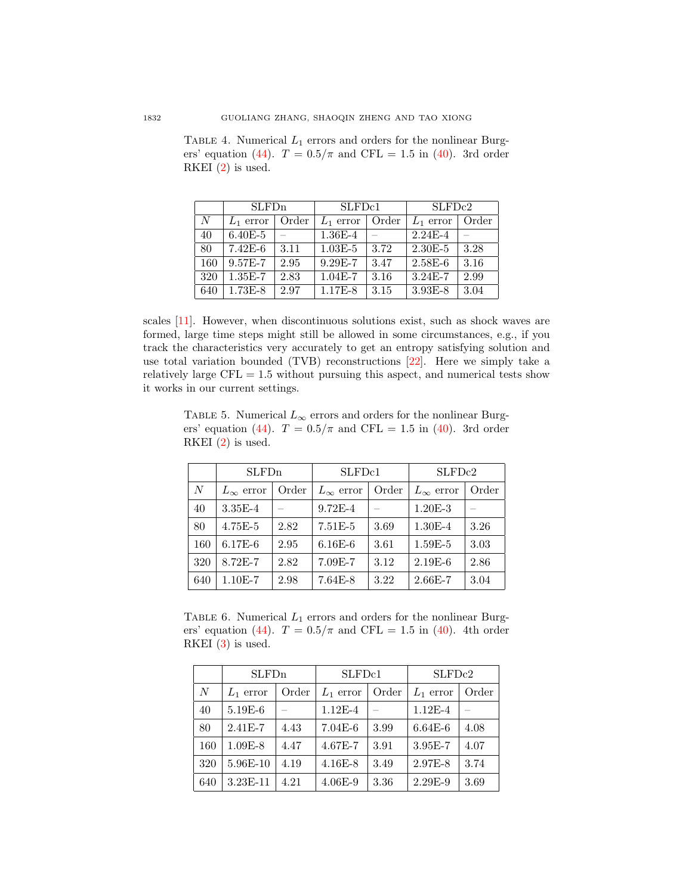|                  | <b>SLFDn</b> |       | SLFD <sub>c1</sub> |       | SLFD <sub>c2</sub> |       |  |
|------------------|--------------|-------|--------------------|-------|--------------------|-------|--|
| $\boldsymbol{N}$ | $L_1$ error  | Order | $L_1$ error        | Order | $L_1$ error        | Order |  |
| 40               | $6.40E - 5$  |       | $1.36E - 4$        |       | $2.24E-4$          |       |  |
| 80               | $7.42E-6$    | 3.11  | $1.03E - 5$        | 3.72  | $2.30E - 5$        | 3.28  |  |
| 160              | 9.57E-7      | 2.95  | 9.29E-7            | 3.47  | $2.58E-6$          | 3.16  |  |
| 320              | $1.35E-7$    | 2.83  | $1.04E - 7$        | 3.16  | $3.24E-7$          | 2.99  |  |
| 640              | $1.73E-8$    | 2.97  | 1.17E-8            | 3.15  | $3.93E - 8$        | 3.04  |  |

<span id="page-13-0"></span>TABLE 4. Numerical  $L_1$  errors and orders for the nonlinear Burg-ers' equation [\(44\)](#page-11-0).  $T = 0.5/\pi$  and CFL = 1.5 in [\(40\)](#page-10-1). 3rd order RKEI  $(2)$  is used.

scales [\[11\]](#page-19-21). However, when discontinuous solutions exist, such as shock waves are formed, large time steps might still be allowed in some circumstances, e.g., if you track the characteristics very accurately to get an entropy satisfying solution and use total variation bounded (TVB) reconstructions [\[22\]](#page-19-22). Here we simply take a relatively large  $CFL = 1.5$  without pursuing this aspect, and numerical tests show it works in our current settings.

<span id="page-13-1"></span>TABLE 5. Numerical  $L_{\infty}$  errors and orders for the nonlinear Burg-ers' equation [\(44\)](#page-11-0).  $T = 0.5/\pi$  and CFL = 1.5 in [\(40\)](#page-10-1). 3rd order RKEI  $(2)$  is used.

|     | <b>SLFD</b> <sub>n</sub> |       | SLFD <sub>c1</sub> |       | SLFDc2             |       |  |
|-----|--------------------------|-------|--------------------|-------|--------------------|-------|--|
| N   | $L_{\infty}$ error       | Order | $L_{\infty}$ error | Order | $L_{\infty}$ error | Order |  |
| 40  | $3.35E-4$                |       | $9.72E - 4$        |       | $1.20E-3$          |       |  |
| 80  | $4.75E-5$                | 2.82  | $7.51E-5$          | 3.69  | $1.30E - 4$        | 3.26  |  |
| 160 | $6.17E-6$                | 2.95  | $6.16E-6$          | 3.61  | $1.59E-5$          | 3.03  |  |
| 320 | 8.72E-7                  | 2.82  | $7.09E-7$          | 3.12  | $2.19E-6$          | 2.86  |  |
| 640 | $1.10E-7$                | 2.98  | $7.64E-8$          | 3.22  | $2.66E - 7$        | 3.04  |  |

<span id="page-13-2"></span>TABLE 6. Numerical  $L_1$  errors and orders for the nonlinear Burg-ers' equation [\(44\)](#page-11-0).  $T = 0.5/\pi$  and CFL = 1.5 in [\(40\)](#page-10-1). 4th order RKEI  $(3)$  is used.

|     | SLFDn       |       | SLFD <sub>c1</sub> |       | SLFDc2      |       |  |
|-----|-------------|-------|--------------------|-------|-------------|-------|--|
| N   | $L_1$ error | Order | $L_1$ error        | Order | $L_1$ error | Order |  |
| 40  | $5.19E-6$   |       | $1.12E-4$          |       | $1.12E-4$   |       |  |
| 80  | $2.41E - 7$ | 4.43  | $7.04E-6$          | 3.99  | $6.64E-6$   | 4.08  |  |
| 160 | $1.09E - 8$ | 4.47  | $4.67E - 7$        | 3.91  | $3.95E-7$   | 4.07  |  |
| 320 | 5.96E-10    | 4.19  | $4.16E - 8$        | 3.49  | 2.97E-8     | 3.74  |  |
| 640 | 3.23E-11    | 4.21  | $4.06E-9$          | 3.36  | $2.29E-9$   | 3.69  |  |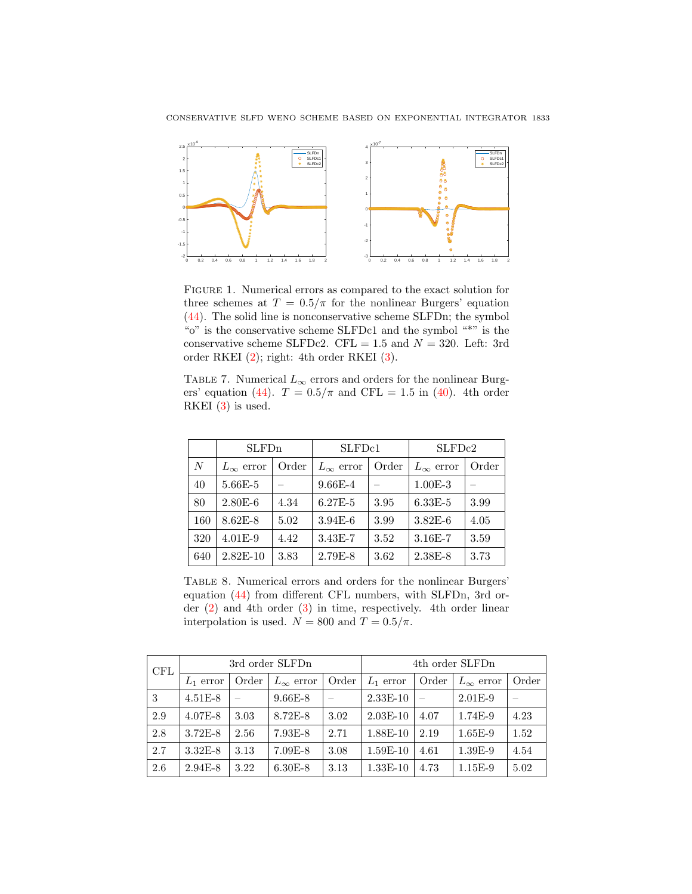

Figure 1. Numerical errors as compared to the exact solution for three schemes at  $T = 0.5/\pi$  for the nonlinear Burgers' equation [\(44\)](#page-11-0). The solid line is nonconservative scheme SLFDn; the symbol "o" is the conservative scheme SLFDc1 and the symbol "\*" is the conservative scheme SLFDc2. CFL = 1.5 and  $N = 320$ . Left: 3rd order RKEI [\(2\)](#page-6-1); right: 4th order RKEI [\(3\)](#page-6-2).

<span id="page-14-0"></span>TABLE 7. Numerical  $L_{\infty}$  errors and orders for the nonlinear Burg-ers' equation [\(44\)](#page-11-0).  $T = 0.5/\pi$  and CFL = 1.5 in [\(40\)](#page-10-1). 4th order RKEI  $(3)$  is used.

|     | SLFDn              |       | SLFD <sub>c1</sub> |       | SLFDc2             |       |  |
|-----|--------------------|-------|--------------------|-------|--------------------|-------|--|
| N   | $L_{\infty}$ error | Order | $L_{\infty}$ error | Order | $L_{\infty}$ error | Order |  |
| 40  | $5.66E - 5$        |       | $9.66E - 4$        |       | $1.00E-3$          |       |  |
| 80  | $2.80E-6$          | 4.34  | $6.27E - 5$        | 3.95  | $6.33E - 5$        | 3.99  |  |
| 160 | 8.62E-8            | 5.02  | $3.94E-6$          | 3.99  | $3.82E-6$          | 4.05  |  |
| 320 | $4.01E-9$          | 4.42  | $3.43E-7$          | 3.52  | 3.16E-7            | 3.59  |  |
| 640 | $2.82E - 10$       | 3.83  | $2.79E-8$          | 3.62  | 2.38E-8            | 3.73  |  |

<span id="page-14-1"></span>Table 8. Numerical errors and orders for the nonlinear Burgers' equation [\(44\)](#page-11-0) from different CFL numbers, with SLFDn, 3rd order [\(2\)](#page-6-1) and 4th order [\(3\)](#page-6-2) in time, respectively. 4th order linear interpolation is used.  $N = 800$  and  $T = 0.5/\pi$ .

| <b>CFL</b> |             |       | 3rd order SLFDn    |       |             | 4th order SLFDn |                    |       |  |
|------------|-------------|-------|--------------------|-------|-------------|-----------------|--------------------|-------|--|
|            | $L_1$ error | Order | $L_{\infty}$ error | Order | $L_1$ error | Order           | $L_{\infty}$ error | Order |  |
| 3          | $4.51E-8$   |       | $9.66E-8$          |       | $2.33E-10$  |                 | $2.01E-9$          |       |  |
| 2.9        | $4.07E - 8$ | 3.03  | 8.72E-8            | 3.02  | $2.03E-10$  | 4.07            | 1.74E-9            | 4.23  |  |
| 2.8        | $3.72E - 8$ | 2.56  | $7.93E-8$          | 2.71  | 1.88E-10    | 2.19            | $1.65E-9$          | 1.52  |  |
| 2.7        | $3.32E-8$   | 3.13  | $7.09E - 8$        | 3.08  | $1.59E-10$  | 4.61            | 1.39E-9            | 4.54  |  |
| 2.6        | $2.94E-8$   | 3.22  | $6.30E - 8$        | 3.13  | $1.33E-10$  | 4.73            | $1.15E-9$          | 5.02  |  |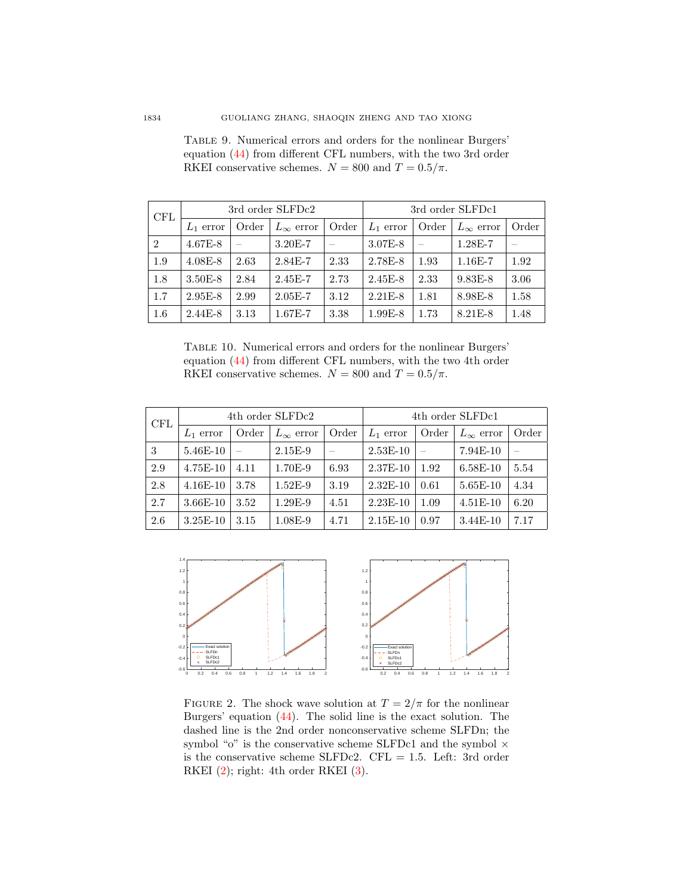| CFL           | 3rd order SLFDc2 |       |                    |       |             |       | 3rd order SLFDc1   |       |  |  |
|---------------|------------------|-------|--------------------|-------|-------------|-------|--------------------|-------|--|--|
|               | $L_1$ error      | Order | $L_{\infty}$ error | Order | $L_1$ error | Order | $L_{\infty}$ error | Order |  |  |
| $\mathcal{D}$ | $4.67E - 8$      |       | $3.20E - 7$        |       | $3.07E - 8$ |       | $1.28E - 7$        |       |  |  |
| 1.9           | $4.08E - 8$      | 2.63  | 2.84E-7            | 2.33  | 2.78E-8     | 1.93  | $1.16E - 7$        | 1.92  |  |  |
| 1.8           | $3.50E - 8$      | 2.84  | $2.45E - 7$        | 2.73  | $2.45E - 8$ | 2.33  | $9.83E - 8$        | 3.06  |  |  |
| 1.7           | $2.95E-8$        | 2.99  | $2.05E - 7$        | 3.12  | $2.21E - 8$ | 1.81  | 8.98E-8            | 1.58  |  |  |
| 1.6           | $2.44E - 8$      | 3.13  | $1.67E - 7$        | 3.38  | $1.99E-8$   | 1.73  | 8.21E-8            | 1.48  |  |  |

<span id="page-15-0"></span>Table 9. Numerical errors and orders for the nonlinear Burgers' equation [\(44\)](#page-11-0) from different CFL numbers, with the two 3rd order RKEI conservative schemes.  $N = 800$  and  $T = 0.5/\pi$ .

<span id="page-15-1"></span>Table 10. Numerical errors and orders for the nonlinear Burgers' equation [\(44\)](#page-11-0) from different CFL numbers, with the two 4th order RKEI conservative schemes.  $N = 800$  and  $T = 0.5/\pi$ .

| <b>CFL</b> | 4th order SLFDc2 |       |                    |       |             |       | 4th order SLFDc1   |       |  |  |
|------------|------------------|-------|--------------------|-------|-------------|-------|--------------------|-------|--|--|
|            | $L_1$ error      | Order | $L_{\infty}$ error | Order | $L_1$ error | Order | $L_{\infty}$ error | Order |  |  |
| 3          | 5.46E-10         |       | $2.15E-9$          |       | $2.53E-10$  |       | $7.94E-10$         |       |  |  |
| 2.9        | $4.75E-10$       | 4.11  | 1.70E-9            | 6.93  | $2.37E-10$  | 1.92  | $6.58E-10$         | 5.54  |  |  |
| 2.8        | $4.16E-10$       | 3.78  | $1.52E-9$          | 3.19  | $2.32E-10$  | 0.61  | $5.65E-10$         | 4.34  |  |  |
| 2.7        | $3.66E-10$       | 3.52  | 1.29E-9            | 4.51  | $2.23E-10$  | 1.09  | $4.51E-10$         | 6.20  |  |  |
| 2.6        | $3.25E-10$       | 3.15  | $1.08E-9$          | 4.71  | $2.15E-10$  | 0.97  | $3.44E-10$         | 7.17  |  |  |



<span id="page-15-2"></span>FIGURE 2. The shock wave solution at  $T = 2/\pi$  for the nonlinear Burgers' equation [\(44\)](#page-11-0). The solid line is the exact solution. The dashed line is the 2nd order nonconservative scheme SLFDn; the symbol "o" is the conservative scheme SLFDc1 and the symbol  $\times$ is the conservative scheme SLFDc2. CFL = 1.5. Left: 3rd order RKEI  $(2)$ ; right: 4th order RKEI  $(3)$ .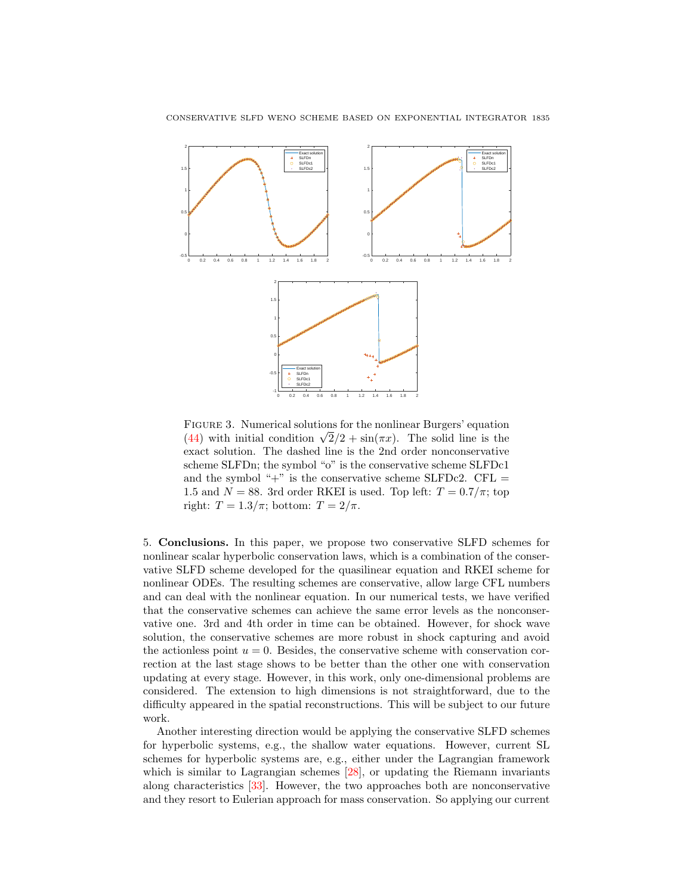

<span id="page-16-0"></span>Figure 3. Numerical solutions for the nonlinear Burgers' equation **FIGURE 3.** Numerical solutions for the nonlinear Burgers equation  $\sqrt{2}/2 + \sin(\pi x)$ . The solid line is the exact solution. The dashed line is the 2nd order nonconservative scheme SLFDn; the symbol "o" is the conservative scheme SLFDc1 and the symbol " $+$ " is the conservative scheme SLFDc2. CFL = 1.5 and  $N = 88$ . 3rd order RKEI is used. Top left:  $T = 0.7/\pi$ ; top right:  $T = 1.3/\pi$ ; bottom:  $T = 2/\pi$ .

5. Conclusions. In this paper, we propose two conservative SLFD schemes for nonlinear scalar hyperbolic conservation laws, which is a combination of the conservative SLFD scheme developed for the quasilinear equation and RKEI scheme for nonlinear ODEs. The resulting schemes are conservative, allow large CFL numbers and can deal with the nonlinear equation. In our numerical tests, we have verified that the conservative schemes can achieve the same error levels as the nonconservative one. 3rd and 4th order in time can be obtained. However, for shock wave solution, the conservative schemes are more robust in shock capturing and avoid the actionless point  $u = 0$ . Besides, the conservative scheme with conservation correction at the last stage shows to be better than the other one with conservation updating at every stage. However, in this work, only one-dimensional problems are considered. The extension to high dimensions is not straightforward, due to the difficulty appeared in the spatial reconstructions. This will be subject to our future work.

Another interesting direction would be applying the conservative SLFD schemes for hyperbolic systems, e.g., the shallow water equations. However, current SL schemes for hyperbolic systems are, e.g., either under the Lagrangian framework which is similar to Lagrangian schemes [\[28\]](#page-20-7), or updating the Riemann invariants along characteristics [\[33\]](#page-20-8). However, the two approaches both are nonconservative and they resort to Eulerian approach for mass conservation. So applying our current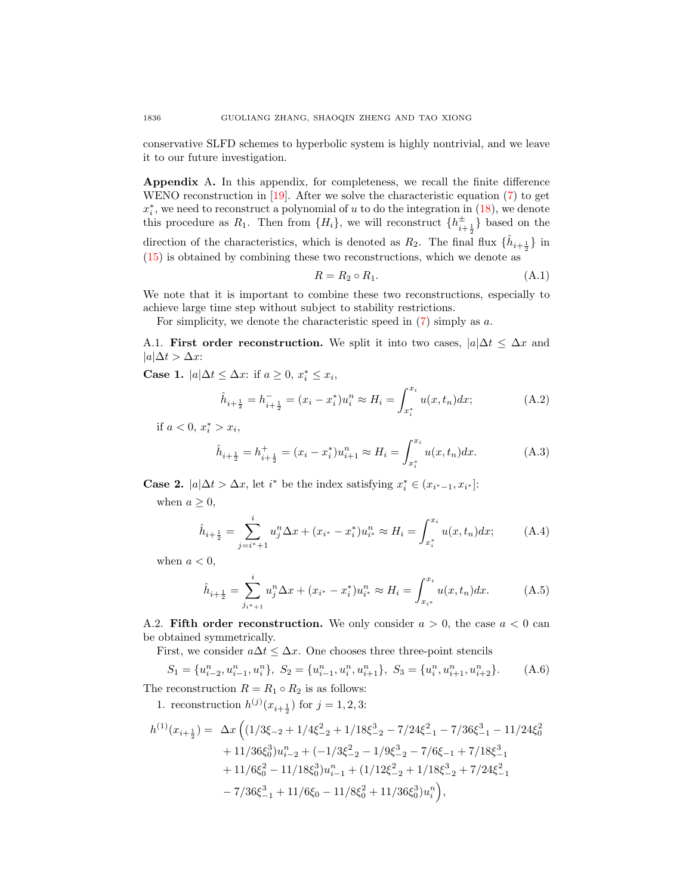conservative SLFD schemes to hyperbolic system is highly nontrivial, and we leave it to our future investigation.

Appendix A. In this appendix, for completeness, we recall the finite difference WENO reconstruction in [\[19\]](#page-19-3). After we solve the characteristic equation [\(7\)](#page-3-2) to get  $x_i^*$ , we need to reconstruct a polynomial of u to do the integration in  $(18)$ , we denote this procedure as  $R_1$ . Then from  $\{H_i\}$ , we will reconstruct  $\{h_{i+\frac{1}{2}}^{\pm}\}$  based on the direction of the characteristics, which is denoted as  $R_2$ . The final flux  $\{\hat{h}_{i+\frac{1}{2}}\}$  in [\(15\)](#page-3-3) is obtained by combining these two reconstructions, which we denote as

$$
R = R_2 \circ R_1. \tag{A.1}
$$

We note that it is important to combine these two reconstructions, especially to achieve large time step without subject to stability restrictions.

For simplicity, we denote the characteristic speed in  $(7)$  simply as a.

A.1. First order reconstruction. We split it into two cases,  $|a|\Delta t \leq \Delta x$  and  $|a|\Delta t > \Delta x$ :

Case 1.  $|a|\Delta t \leq \Delta x$ : if  $a \geq 0$ ,  $x_i^* \leq x_i$ ,

$$
\hat{h}_{i+\frac{1}{2}} = h_{i+\frac{1}{2}}^- = (x_i - x_i^*)u_i^n \approx H_i = \int_{x_i^*}^{x_i} u(x, t_n) dx; \tag{A.2}
$$

if  $a < 0, x_i^* > x_i$ ,

$$
\hat{h}_{i+\frac{1}{2}} = h_{i+\frac{1}{2}}^+ = (x_i - x_i^*)u_{i+1}^n \approx H_i = \int_{x_i^*}^{x_i} u(x, t_n) dx.
$$
 (A.3)

**Case 2.**  $|a|\Delta t > \Delta x$ , let *i*<sup>\*</sup> be the index satisfying  $x_i^* \in (x_{i^*-1}, x_{i^*})$ :

when  $a \geq 0$ ,

$$
\hat{h}_{i+\frac{1}{2}} = \sum_{j=i^*+1}^{i} u_j^n \Delta x + (x_{i^*} - x_i^*) u_{i^*}^n \approx H_i = \int_{x_i^*}^{x_i} u(x, t_n) dx; \tag{A.4}
$$

when  $a < 0$ ,

$$
\hat{h}_{i+\frac{1}{2}} = \sum_{j_{i^*+1}}^i u_j^n \Delta x + (x_{i^*} - x_i^*) u_{i^*}^n \approx H_i = \int_{x_{i^*}}^{x_i} u(x, t_n) dx.
$$
 (A.5)

<span id="page-17-0"></span>A.2. Fifth order reconstruction. We only consider  $a > 0$ , the case  $a < 0$  can be obtained symmetrically.

First, we consider  $a\Delta t \leq \Delta x$ . One chooses three three-point stencils

$$
S_1 = \{u_{i-2}^n, u_{i-1}^n, u_i^n\}, \ S_2 = \{u_{i-1}^n, u_i^n, u_{i+1}^n\}, \ S_3 = \{u_i^n, u_{i+1}^n, u_{i+2}^n\}.
$$
 (A.6)

The reconstruction  $R = R_1 \circ R_2$  is as follows:

1. reconstruction  $h^{(j)}(x_{i+\frac{1}{2}})$  for  $j = 1, 2, 3$ :

$$
h^{(1)}(x_{i+\frac{1}{2}}) = \Delta x \left( \left( 1/3\xi_{-2} + 1/4\xi_{-2}^2 + 1/18\xi_{-2}^3 - 7/24\xi_{-1}^2 - 7/36\xi_{-1}^3 - 11/24\xi_0^2 \right) \right.
$$
  
+  $11/36\xi_0^3)u_{i-2}^n + (-1/3\xi_{-2}^2 - 1/9\xi_{-2}^3 - 7/6\xi_{-1} + 7/18\xi_{-1}^3 \right.$   
+  $11/6\xi_0^2 - 11/18\xi_0^3)u_{i-1}^n + (1/12\xi_{-2}^2 + 1/18\xi_{-2}^3 + 7/24\xi_{-1}^2 \right.$   
-  $7/36\xi_{-1}^3 + 11/6\xi_0 - 11/8\xi_0^2 + 11/36\xi_0^3)u_i^n$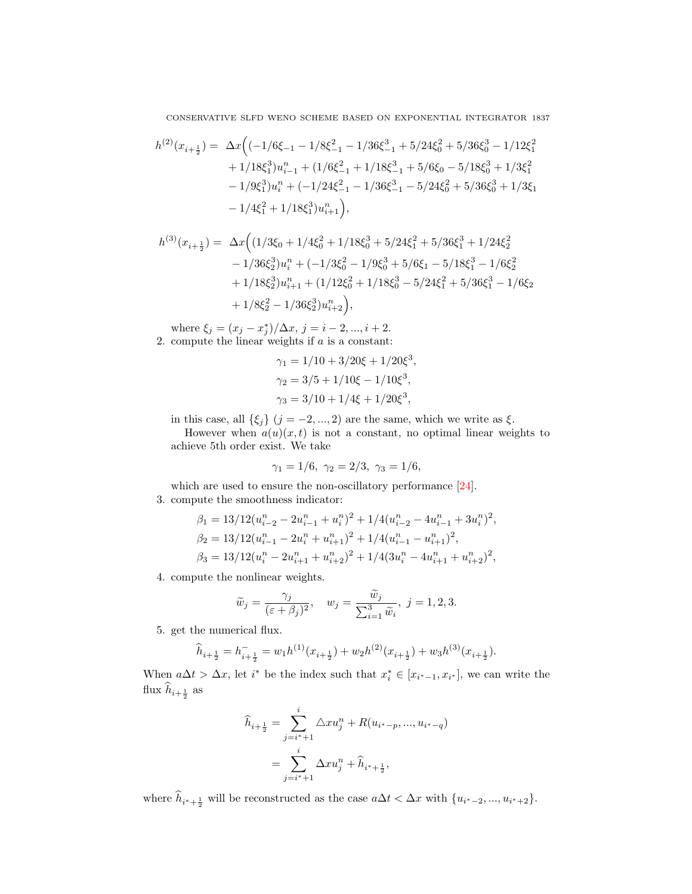CONSERVATIVE SLFD WENO SCHEME BASED ON EXPONENTIAL INTEGRATOR 1837

$$
\begin{array}{rl} h^{(2)}(x_{i+\frac{1}{2}})=&\Delta x \Big( (-1/6\xi_{-1}-1/8\xi_{-1}^2-1/36\xi_{-1}^3+5/24\xi_0^2+5/36\xi_0^3-1/12\xi_1^2\\&+1/18\xi_1^3)u_{i-1}^n+(1/6\xi_{-1}^2+1/18\xi_{-1}^3+5/6\xi_0-5/18\xi_0^3+1/3\xi_1^2\\&-1/9\xi_1^3)u_{i}^n+(-1/24\xi_{-1}^2-1/36\xi_{-1}^3-5/24\xi_0^2+5/36\xi_0^3+1/3\xi_1\\&-1/4\xi_1^2+1/18\xi_1^3)u_{i+1}^n\Big), \end{array}
$$

$$
h^{(3)}(x_{i+\frac{1}{2}}) = \Delta x \Big( (1/3\xi_0 + 1/4\xi_0^2 + 1/18\xi_0^3 + 5/24\xi_1^2 + 5/36\xi_1^3 + 1/24\xi_2^2 - 1/36\xi_2^3)u_i^n + (-1/3\xi_0^2 - 1/9\xi_0^3 + 5/6\xi_1 - 5/18\xi_1^3 - 1/6\xi_2^2 + 1/18\xi_2^3)u_{i+1}^n + (1/12\xi_0^2 + 1/18\xi_0^3 - 5/24\xi_1^2 + 5/36\xi_1^3 - 1/6\xi_2 + 1/8\xi_2^2 - 1/36\xi_2^3)u_{i+2}^n \Big),
$$

where  $\xi_j = (x_j - x_j^*)/\Delta x, j = i - 2, ..., i + 2$ . 2. compute the linear weights if  $a$  is a constant:

$$
\gamma_1 = 1/10 + 3/20\xi + 1/20\xi^3,
$$
  
\n
$$
\gamma_2 = 3/5 + 1/10\xi - 1/10\xi^3,
$$
  
\n
$$
\gamma_3 = 3/10 + 1/4\xi + 1/20\xi^3,
$$

in this case, all  $\{\xi_j\}$   $(j = -2, ..., 2)$  are the same, which we write as  $\xi$ .

However when  $a(u)(x,t)$  is not a constant, no optimal linear weights to achieve 5th order exist. We take

$$
\gamma_1 = 1/6, \ \gamma_2 = 2/3, \ \gamma_3 = 1/6,
$$

which are used to ensure the non-oscillatory performance  $[24]$ . 3. compute the smoothness indicator:

$$
\beta_1 = 13/12(u_{i-2}^n - 2u_{i-1}^n + u_i^n)^2 + 1/4(u_{i-2}^n - 4u_{i-1}^n + 3u_i^n)^2,
$$
  
\n
$$
\beta_2 = 13/12(u_{i-1}^n - 2u_i^n + u_{i+1}^n)^2 + 1/4(u_{i-1}^n - u_{i+1}^n)^2,
$$
  
\n
$$
\beta_3 = 13/12(u_i^n - 2u_{i+1}^n + u_{i+2}^n)^2 + 1/4(3u_i^n - 4u_{i+1}^n + u_{i+2}^n)^2,
$$

4. compute the nonlinear weights.

$$
\widetilde{w}_j = \frac{\gamma_j}{(\varepsilon + \beta_j)^2}, \quad w_j = \frac{\widetilde{w}_j}{\sum_{i=1}^3 \widetilde{w}_i}, \ j = 1, 2, 3.
$$

5. get the numerical flux.

$$
\widehat{h}_{i+\frac{1}{2}} = h_{i+\frac{1}{2}}^- = w_1 h^{(1)}(x_{i+\frac{1}{2}}) + w_2 h^{(2)}(x_{i+\frac{1}{2}}) + w_3 h^{(3)}(x_{i+\frac{1}{2}}).
$$

When  $a\Delta t > \Delta x$ , let i<sup>\*</sup> be the index such that  $x_i^* \in [x_{i^*-1}, x_{i^*}]$ , we can write the flux  $h_{i+\frac{1}{2}}$  as

$$
\widehat{h}_{i+\frac{1}{2}} = \sum_{j=i^*+1}^{i} \Delta x u_j^{n} + R(u_{i^*-p}, ..., u_{i^*-q})
$$

$$
= \sum_{j=i^*+1}^{i} \Delta x u_j^{n} + \widehat{h}_{i^*+\frac{1}{2}},
$$

where  $h_{i^*+\frac{1}{2}}$  will be reconstructed as the case  $a\Delta t < \Delta x$  with  $\{u_{i^*-2},...,u_{i^*+2}\}.$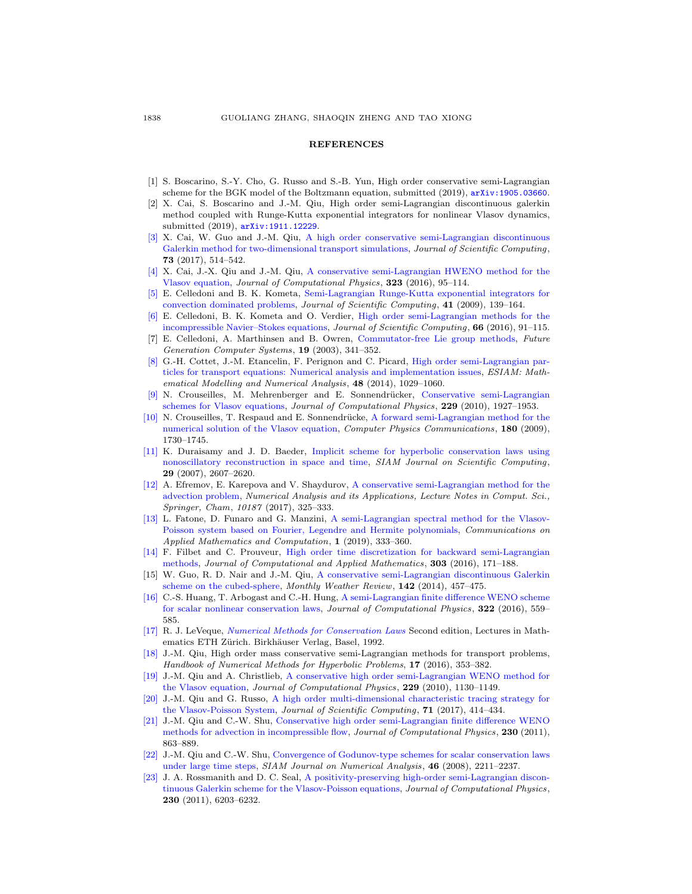#### **REFERENCES**

- <span id="page-19-16"></span>[1] S. Boscarino, S.-Y. Cho, G. Russo and S.-B. Yun, High order conservative semi-Lagrangian scheme for the BGK model of the Boltzmann equation, submitted (2019), [arXiv:1905.03660](http://arxiv.org/pdf/1905.03660).
- <span id="page-19-11"></span>[2] X. Cai, S. Boscarino and J.-M. Qiu, High order semi-Lagrangian discontinuous galerkin method coupled with Runge-Kutta exponential integrators for nonlinear Vlasov dynamics, submitted (2019), [arXiv:1911.12229](http://arxiv.org/pdf/1911.12229).
- <span id="page-19-9"></span>[\[3\]](http://www.ams.org/mathscinet-getitem?mr=MR3719597&return=pdf) X. Cai, W. Guo and J.-M. Qiu, [A high order conservative semi-Lagrangian discontinuous](http://dx.doi.org/10.1007/s10915-017-0554-0) [Galerkin method for two-dimensional transport simulations,](http://dx.doi.org/10.1007/s10915-017-0554-0) Journal of Scientific Computing, 73 (2017), 514–542.
- <span id="page-19-19"></span>[\[4\]](http://www.ams.org/mathscinet-getitem?mr=MR3535723&return=pdf) X. Cai, J.-X. Qiu and J.-M. Qiu, [A conservative semi-Lagrangian HWENO method for the](http://dx.doi.org/10.1016/j.jcp.2016.07.021) [Vlasov equation,](http://dx.doi.org/10.1016/j.jcp.2016.07.021) Journal of Computational Physics, 323 (2016), 95–114.
- <span id="page-19-17"></span>[\[5\]](http://www.ams.org/mathscinet-getitem?mr=MR2540108&return=pdf) E. Celledoni and B. K. Kometa, [Semi-Lagrangian Runge-Kutta exponential integrators for](http://dx.doi.org/10.1007/s10915-009-9291-3) [convection dominated problems,](http://dx.doi.org/10.1007/s10915-009-9291-3) Journal of Scientific Computing, 41 (2009), 139–164.
- <span id="page-19-18"></span>[\[6\]](http://www.ams.org/mathscinet-getitem?mr=MR3440274&return=pdf) E. Celledoni, B. K. Kometa and O. Verdier, [High order semi-Lagrangian methods for the](http://dx.doi.org/10.1007/s10915-015-0015-6) [incompressible Navier–Stokes equations,](http://dx.doi.org/10.1007/s10915-015-0015-6) Journal of Scientific Computing, 66 (2016), 91–115.
- <span id="page-19-1"></span>[7] E. Celledoni, A. Marthinsen and B. Owren, [Commutator-free Lie group methods,](http://dx.doi.org/10.1016/S0167-739X(02)00161-9) Future Generation Computer Systems, 19 (2003), 341–352.
- <span id="page-19-10"></span>[\[8\]](http://www.ams.org/mathscinet-getitem?mr=MR3264345&return=pdf) G.-H. Cottet, J.-M. Etancelin, F. Perignon and C. Picard, [High order semi-Lagrangian par](http://dx.doi.org/10.1051/m2an/2014009)[ticles for transport equations: Numerical analysis and implementation issues,](http://dx.doi.org/10.1051/m2an/2014009) ESIAM: Mathematical Modelling and Numerical Analysis, 48 (2014), 1029–1060.
- <span id="page-19-5"></span>[\[9\]](http://www.ams.org/mathscinet-getitem?mr=MR2586230&return=pdf) N. Crouseilles, M. Mehrenberger and E. Sonnendrücker, [Conservative semi-Lagrangian](http://dx.doi.org/10.1016/j.jcp.2009.11.007) [schemes for Vlasov equations,](http://dx.doi.org/10.1016/j.jcp.2009.11.007) Journal of Computational Physics, 229 (2010), 1927-1953.
- <span id="page-19-2"></span>[\[10\]](http://www.ams.org/mathscinet-getitem?mr=MR2678446&return=pdf) N. Crouseilles, T. Respaud and E. Sonnendrücke, [A forward semi-Lagrangian method for the](http://dx.doi.org/10.1016/j.cpc.2009.04.024) [numerical solution of the Vlasov equation,](http://dx.doi.org/10.1016/j.cpc.2009.04.024) *Computer Physics Communications*, 180 (2009), 1730–1745.
- <span id="page-19-21"></span>[\[11\]](http://www.ams.org/mathscinet-getitem?mr=MR2357629&return=pdf) K. Duraisamy and J. D. Baeder, [Implicit scheme for hyperbolic conservation laws using](http://dx.doi.org/10.1137/070683271) [nonoscillatory reconstruction in space and time,](http://dx.doi.org/10.1137/070683271) SIAM Journal on Scientific Computing, 29 (2007), 2607–2620.
- <span id="page-19-6"></span>[\[12\]](http://www.ams.org/mathscinet-getitem?mr=MR3661258&return=pdf) A. Efremov, E. Karepova and V. Shaydurov, [A conservative semi-Lagrangian method for the](http://dx.doi.org/10.1007/978-3-319-57099-0) [advection problem,](http://dx.doi.org/10.1007/978-3-319-57099-0) Numerical Analysis and its Applications, Lecture Notes in Comput. Sci., Springer, Cham, 10187 (2017), 325–333.
- <span id="page-19-7"></span>[\[13\]](http://www.ams.org/mathscinet-getitem?mr=MR4022336&return=pdf) L. Fatone, D. Funaro and G. Manzini, [A semi-Lagrangian spectral method for the Vlasov-](http://dx.doi.org/10.1007/s42967-019-00027-8)[Poisson system based on Fourier, Legendre and Hermite polynomials,](http://dx.doi.org/10.1007/s42967-019-00027-8) Communications on Applied Mathematics and Computation, 1 (2019), 333–360.
- <span id="page-19-4"></span>[\[14\]](http://www.ams.org/mathscinet-getitem?mr=MR3479281&return=pdf) F. Filbet and C. Prouveur, [High order time discretization for backward semi-Lagrangian](http://dx.doi.org/10.1016/j.cam.2016.01.024) [methods,](http://dx.doi.org/10.1016/j.cam.2016.01.024) Journal of Computational and Applied Mathematics, 303 (2016), 171–188.
- <span id="page-19-12"></span>[15] W. Guo, R. D. Nair and J.-M. Qiu, [A conservative semi-Lagrangian discontinuous Galerkin](http://dx.doi.org/10.1175/MWR-D-13-00048.1) [scheme on the cubed-sphere,](http://dx.doi.org/10.1175/MWR-D-13-00048.1) Monthly Weather Review, 142 (2014), 457–475.
- <span id="page-19-14"></span>[\[16\]](http://www.ams.org/mathscinet-getitem?mr=MR3534879&return=pdf) C.-S. Huang, T. Arbogast and C.-H. Hung, [A semi-Lagrangian finite difference WENO scheme](http://dx.doi.org/10.1016/j.jcp.2016.06.027) [for scalar nonlinear conservation laws,](http://dx.doi.org/10.1016/j.jcp.2016.06.027) Journal of Computational Physics, 322 (2016), 559– 585.
- <span id="page-19-20"></span>[\[17\]](http://www.ams.org/mathscinet-getitem?mr=MR1153252&return=pdf) R. J. LeVeque, [Numerical Methods for Conservation Laws](http://dx.doi.org/10.1007/978-3-0348-8629-1) Second edition, Lectures in Mathematics ETH Zürich. Birkhäuser Verlag, Basel, 1992.
- <span id="page-19-13"></span>[\[18\]](http://www.ams.org/mathscinet-getitem?mr=MR3643834&return=pdf) J.-M. Qiu, High order mass conservative semi-Lagrangian methods for transport problems, Handbook of Numerical Methods for Hyperbolic Problems, 17 (2016), 353–382.
- <span id="page-19-3"></span>[\[19\]](http://www.ams.org/mathscinet-getitem?mr=MR2576241&return=pdf) J.-M. Qiu and A. Christlieb, [A conservative high order semi-Lagrangian WENO method for](http://dx.doi.org/10.1016/j.jcp.2009.10.016) [the Vlasov equation,](http://dx.doi.org/10.1016/j.jcp.2009.10.016) Journal of Computational Physics, 229 (2010), 1130–1149.
- <span id="page-19-15"></span>[\[20\]](http://www.ams.org/mathscinet-getitem?mr=MR3620228&return=pdf) J.-M. Qiu and G. Russo, [A high order multi-dimensional characteristic tracing strategy for](http://dx.doi.org/10.1007/s10915-016-0305-7) [the Vlasov-Poisson System,](http://dx.doi.org/10.1007/s10915-016-0305-7) Journal of Scientific Computing, 71 (2017), 414–434.
- <span id="page-19-0"></span>[\[21\]](http://www.ams.org/mathscinet-getitem?mr=MR2753339&return=pdf) J.-M. Qiu and C.-W. Shu, [Conservative high order semi-Lagrangian finite difference WENO](http://dx.doi.org/10.1016/j.jcp.2010.04.037) [methods for advection in incompressible flow,](http://dx.doi.org/10.1016/j.jcp.2010.04.037) Journal of Computational Physics, 230 (2011), 863–889.
- <span id="page-19-22"></span>[\[22\]](http://www.ams.org/mathscinet-getitem?mr=MR2421033&return=pdf) J.-M. Qiu and C.-W. Shu, [Convergence of Godunov-type schemes for scalar conservation laws](http://dx.doi.org/10.1137/060657911) [under large time steps,](http://dx.doi.org/10.1137/060657911) SIAM Journal on Numerical Analysis, 46 (2008), 2211–2237.
- <span id="page-19-8"></span>[\[23\]](http://www.ams.org/mathscinet-getitem?mr=MR2806222&return=pdf) J. A. Rossmanith and D. C. Seal, [A positivity-preserving high-order semi-Lagrangian discon](http://dx.doi.org/10.1016/j.jcp.2011.04.018)[tinuous Galerkin scheme for the Vlasov-Poisson equations,](http://dx.doi.org/10.1016/j.jcp.2011.04.018) Journal of Computational Physics, 230 (2011), 6203–6232.